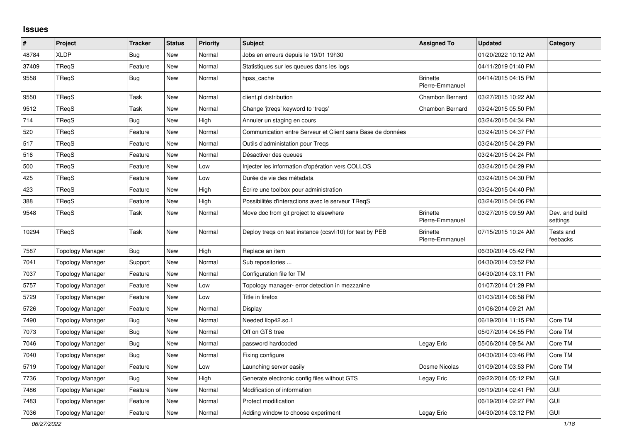## **Issues**

| #     | Project                 | <b>Tracker</b> | <b>Status</b> | <b>Priority</b> | <b>Subject</b>                                             | <b>Assigned To</b>                 | <b>Updated</b>      | Category                   |
|-------|-------------------------|----------------|---------------|-----------------|------------------------------------------------------------|------------------------------------|---------------------|----------------------------|
| 48784 | <b>XLDP</b>             | Bug            | <b>New</b>    | Normal          | Jobs en erreurs depuis le 19/01 19h30                      |                                    | 01/20/2022 10:12 AM |                            |
| 37409 | TRegS                   | Feature        | <b>New</b>    | Normal          | Statistiques sur les queues dans les logs                  |                                    | 04/11/2019 01:40 PM |                            |
| 9558  | TReqS                   | <b>Bug</b>     | New           | Normal          | hpss_cache                                                 | <b>Brinette</b><br>Pierre-Emmanuel | 04/14/2015 04:15 PM |                            |
| 9550  | TRegS                   | Task           | New           | Normal          | client.pl distribution                                     | Chambon Bernard                    | 03/27/2015 10:22 AM |                            |
| 9512  | TReqS                   | Task           | New           | Normal          | Change 'jtregs' keyword to 'tregs'                         | Chambon Bernard                    | 03/24/2015 05:50 PM |                            |
| 714   | TReqS                   | <b>Bug</b>     | New           | High            | Annuler un staging en cours                                |                                    | 03/24/2015 04:34 PM |                            |
| 520   | TRegS                   | Feature        | New           | Normal          | Communication entre Serveur et Client sans Base de données |                                    | 03/24/2015 04:37 PM |                            |
| 517   | TRegS                   | Feature        | New           | Normal          | Outils d'administation pour Tregs                          |                                    | 03/24/2015 04:29 PM |                            |
| 516   | TRegS                   | Feature        | New           | Normal          | Désactiver des queues                                      |                                    | 03/24/2015 04:24 PM |                            |
| 500   | TRegS                   | Feature        | New           | Low             | Injecter les information d'opération vers COLLOS           |                                    | 03/24/2015 04:29 PM |                            |
| 425   | <b>TRegS</b>            | Feature        | New           | Low             | Durée de vie des métadata                                  |                                    | 03/24/2015 04:30 PM |                            |
| 423   | TReqS                   | Feature        | New           | High            | Écrire une toolbox pour administration                     |                                    | 03/24/2015 04:40 PM |                            |
| 388   | TReqS                   | Feature        | New           | High            | Possibilités d'interactions avec le serveur TReqS          |                                    | 03/24/2015 04:06 PM |                            |
| 9548  | TReqS                   | Task           | New           | Normal          | Move doc from git project to elsewhere                     | <b>Brinette</b><br>Pierre-Emmanuel | 03/27/2015 09:59 AM | Dev. and build<br>settings |
| 10294 | <b>TReqS</b>            | Task           | New           | Normal          | Deploy treqs on test instance (ccsvli10) for test by PEB   | <b>Brinette</b><br>Pierre-Emmanuel | 07/15/2015 10:24 AM | Tests and<br>feebacks      |
| 7587  | <b>Topology Manager</b> | Bug            | New           | High            | Replace an item                                            |                                    | 06/30/2014 05:42 PM |                            |
| 7041  | Topology Manager        | Support        | New           | Normal          | Sub repositories                                           |                                    | 04/30/2014 03:52 PM |                            |
| 7037  | <b>Topology Manager</b> | Feature        | New           | Normal          | Configuration file for TM                                  |                                    | 04/30/2014 03:11 PM |                            |
| 5757  | <b>Topology Manager</b> | Feature        | <b>New</b>    | Low             | Topology manager- error detection in mezzanine             |                                    | 01/07/2014 01:29 PM |                            |
| 5729  | <b>Topology Manager</b> | Feature        | New           | Low             | Title in firefox                                           |                                    | 01/03/2014 06:58 PM |                            |
| 5726  | <b>Topology Manager</b> | Feature        | New           | Normal          | Display                                                    |                                    | 01/06/2014 09:21 AM |                            |
| 7490  | <b>Topology Manager</b> | Bug            | <b>New</b>    | Normal          | Needed libp42.so.1                                         |                                    | 06/19/2014 11:15 PM | Core TM                    |
| 7073  | Topology Manager        | <b>Bug</b>     | New           | Normal          | Off on GTS tree                                            |                                    | 05/07/2014 04:55 PM | Core TM                    |
| 7046  | Topology Manager        | <b>Bug</b>     | New           | Normal          | password hardcoded                                         | Legay Eric                         | 05/06/2014 09:54 AM | Core TM                    |
| 7040  | <b>Topology Manager</b> | <b>Bug</b>     | New           | Normal          | Fixing configure                                           |                                    | 04/30/2014 03:46 PM | Core TM                    |
| 5719  | <b>Topology Manager</b> | Feature        | New           | Low             | Launching server easily                                    | Dosme Nicolas                      | 01/09/2014 03:53 PM | Core TM                    |
| 7736  | Topology Manager        | <b>Bug</b>     | New           | High            | Generate electronic config files without GTS               | Legay Eric                         | 09/22/2014 05:12 PM | <b>GUI</b>                 |
| 7486  | <b>Topology Manager</b> | Feature        | New           | Normal          | Modification of information                                |                                    | 06/19/2014 02:41 PM | GUI                        |
| 7483  | <b>Topology Manager</b> | Feature        | New           | Normal          | Protect modification                                       |                                    | 06/19/2014 02:27 PM | GUI                        |
| 7036  | <b>Topology Manager</b> | Feature        | New           | Normal          | Adding window to choose experiment                         | Legay Eric                         | 04/30/2014 03:12 PM | GUI                        |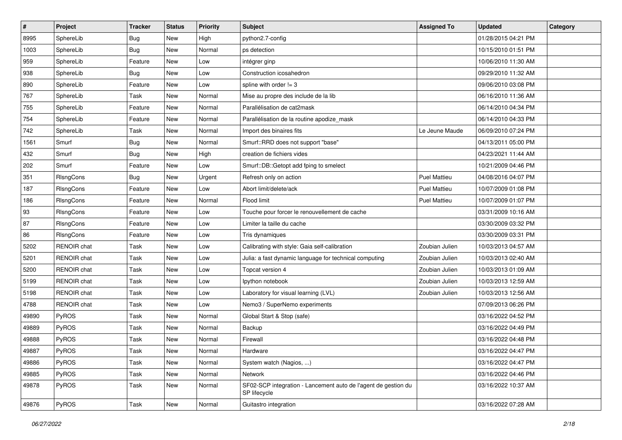| #     | Project            | <b>Tracker</b> | <b>Status</b> | <b>Priority</b> | Subject                                                                        | <b>Assigned To</b>  | <b>Updated</b>      | Category |
|-------|--------------------|----------------|---------------|-----------------|--------------------------------------------------------------------------------|---------------------|---------------------|----------|
| 8995  | SphereLib          | Bug            | New           | High            | python2.7-config                                                               |                     | 01/28/2015 04:21 PM |          |
| 1003  | SphereLib          | Bug            | <b>New</b>    | Normal          | ps detection                                                                   |                     | 10/15/2010 01:51 PM |          |
| 959   | SphereLib          | Feature        | New           | Low             | intégrer ginp                                                                  |                     | 10/06/2010 11:30 AM |          |
| 938   | SphereLib          | <b>Bug</b>     | New           | Low             | Construction icosahedron                                                       |                     | 09/29/2010 11:32 AM |          |
| 890   | SphereLib          | Feature        | <b>New</b>    | Low             | spline with order $!=$ 3                                                       |                     | 09/06/2010 03:08 PM |          |
| 767   | SphereLib          | Task           | New           | Normal          | Mise au propre des include de la lib                                           |                     | 06/16/2010 11:36 AM |          |
| 755   | SphereLib          | Feature        | <b>New</b>    | Normal          | Parallélisation de cat2mask                                                    |                     | 06/14/2010 04:34 PM |          |
| 754   | SphereLib          | Feature        | New           | Normal          | Parallélisation de la routine apodize_mask                                     |                     | 06/14/2010 04:33 PM |          |
| 742   | SphereLib          | Task           | New           | Normal          | Import des binaires fits                                                       | Le Jeune Maude      | 06/09/2010 07:24 PM |          |
| 1561  | Smurf              | <b>Bug</b>     | <b>New</b>    | Normal          | Smurf::RRD does not support "base"                                             |                     | 04/13/2011 05:00 PM |          |
| 432   | Smurf              | Bug            | New           | High            | creation de fichiers vides                                                     |                     | 04/23/2021 11:44 AM |          |
| 202   | Smurf              | Feature        | New           | Low             | Smurf::DB::Getopt add fping to smelect                                         |                     | 10/21/2009 04:46 PM |          |
| 351   | RIsngCons          | <b>Bug</b>     | New           | Urgent          | Refresh only on action                                                         | <b>Puel Mattieu</b> | 04/08/2016 04:07 PM |          |
| 187   | RIsngCons          | Feature        | New           | Low             | Abort limit/delete/ack                                                         | <b>Puel Mattieu</b> | 10/07/2009 01:08 PM |          |
| 186   | RIsngCons          | Feature        | New           | Normal          | Flood limit                                                                    | <b>Puel Mattieu</b> | 10/07/2009 01:07 PM |          |
| 93    | RIsngCons          | Feature        | New           | Low             | Touche pour forcer le renouvellement de cache                                  |                     | 03/31/2009 10:16 AM |          |
| 87    | RIsngCons          | Feature        | New           | Low             | Limiter la taille du cache                                                     |                     | 03/30/2009 03:32 PM |          |
| 86    | RIsngCons          | Feature        | <b>New</b>    | Low             | Tris dynamiques                                                                |                     | 03/30/2009 03:31 PM |          |
| 5202  | RENOIR chat        | Task           | New           | Low             | Calibrating with style: Gaia self-calibration                                  | Zoubian Julien      | 10/03/2013 04:57 AM |          |
| 5201  | RENOIR chat        | Task           | <b>New</b>    | Low             | Julia: a fast dynamic language for technical computing                         | Zoubian Julien      | 10/03/2013 02:40 AM |          |
| 5200  | <b>RENOIR</b> chat | Task           | New           | Low             | Topcat version 4                                                               | Zoubian Julien      | 10/03/2013 01:09 AM |          |
| 5199  | <b>RENOIR</b> chat | Task           | New           | Low             | Ipython notebook                                                               | Zoubian Julien      | 10/03/2013 12:59 AM |          |
| 5198  | <b>RENOIR</b> chat | Task           | <b>New</b>    | Low             | Laboratory for visual learning (LVL)                                           | Zoubian Julien      | 10/03/2013 12:56 AM |          |
| 4788  | <b>RENOIR</b> chat | Task           | New           | Low             | Nemo3 / SuperNemo experiments                                                  |                     | 07/09/2013 06:26 PM |          |
| 49890 | PyROS              | Task           | New           | Normal          | Global Start & Stop (safe)                                                     |                     | 03/16/2022 04:52 PM |          |
| 49889 | PyROS              | Task           | New           | Normal          | Backup                                                                         |                     | 03/16/2022 04:49 PM |          |
| 49888 | PyROS              | Task           | <b>New</b>    | Normal          | Firewall                                                                       |                     | 03/16/2022 04:48 PM |          |
| 49887 | PyROS              | Task           | New           | Normal          | Hardware                                                                       |                     | 03/16/2022 04:47 PM |          |
| 49886 | PyROS              | Task           | New           | Normal          | System watch (Nagios, )                                                        |                     | 03/16/2022 04:47 PM |          |
| 49885 | PyROS              | Task           | New           | Normal          | Network                                                                        |                     | 03/16/2022 04:46 PM |          |
| 49878 | PyROS              | Task           | New           | Normal          | SF02-SCP integration - Lancement auto de l'agent de gestion du<br>SP lifecycle |                     | 03/16/2022 10:37 AM |          |
| 49876 | PyROS              | Task           | New           | Normal          | Guitastro integration                                                          |                     | 03/16/2022 07:28 AM |          |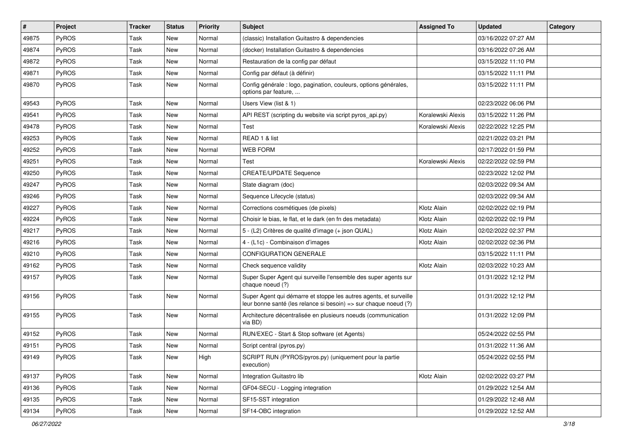| $\vert$ # | Project      | Tracker | <b>Status</b> | <b>Priority</b> | Subject                                                                                                                               | <b>Assigned To</b> | <b>Updated</b>      | Category |
|-----------|--------------|---------|---------------|-----------------|---------------------------------------------------------------------------------------------------------------------------------------|--------------------|---------------------|----------|
| 49875     | PyROS        | Task    | <b>New</b>    | Normal          | (classic) Installation Guitastro & dependencies                                                                                       |                    | 03/16/2022 07:27 AM |          |
| 49874     | PyROS        | Task    | <b>New</b>    | Normal          | (docker) Installation Guitastro & dependencies                                                                                        |                    | 03/16/2022 07:26 AM |          |
| 49872     | <b>PyROS</b> | Task    | New           | Normal          | Restauration de la config par défaut                                                                                                  |                    | 03/15/2022 11:10 PM |          |
| 49871     | PyROS        | Task    | New           | Normal          | Config par défaut (à définir)                                                                                                         |                    | 03/15/2022 11:11 PM |          |
| 49870     | PyROS        | Task    | <b>New</b>    | Normal          | Config générale : logo, pagination, couleurs, options générales,<br>options par feature,                                              |                    | 03/15/2022 11:11 PM |          |
| 49543     | PyROS        | Task    | New           | Normal          | Users View (list & 1)                                                                                                                 |                    | 02/23/2022 06:06 PM |          |
| 49541     | PyROS        | Task    | New           | Normal          | API REST (scripting du website via script pyros_api.py)                                                                               | Koralewski Alexis  | 03/15/2022 11:26 PM |          |
| 49478     | PyROS        | Task    | New           | Normal          | Test                                                                                                                                  | Koralewski Alexis  | 02/22/2022 12:25 PM |          |
| 49253     | PyROS        | Task    | <b>New</b>    | Normal          | READ 1 & list                                                                                                                         |                    | 02/21/2022 03:21 PM |          |
| 49252     | <b>PyROS</b> | Task    | New           | Normal          | <b>WEB FORM</b>                                                                                                                       |                    | 02/17/2022 01:59 PM |          |
| 49251     | PyROS        | Task    | New           | Normal          | Test                                                                                                                                  | Koralewski Alexis  | 02/22/2022 02:59 PM |          |
| 49250     | PyROS        | Task    | New           | Normal          | <b>CREATE/UPDATE Sequence</b>                                                                                                         |                    | 02/23/2022 12:02 PM |          |
| 49247     | PyROS        | Task    | <b>New</b>    | Normal          | State diagram (doc)                                                                                                                   |                    | 02/03/2022 09:34 AM |          |
| 49246     | PyROS        | Task    | New           | Normal          | Sequence Lifecycle (status)                                                                                                           |                    | 02/03/2022 09:34 AM |          |
| 49227     | PyROS        | Task    | <b>New</b>    | Normal          | Corrections cosmétiques (de pixels)                                                                                                   | Klotz Alain        | 02/02/2022 02:19 PM |          |
| 49224     | PyROS        | Task    | New           | Normal          | Choisir le bias, le flat, et le dark (en fn des metadata)                                                                             | Klotz Alain        | 02/02/2022 02:19 PM |          |
| 49217     | PyROS        | Task    | <b>New</b>    | Normal          | 5 - (L2) Critères de qualité d'image (+ json QUAL)                                                                                    | Klotz Alain        | 02/02/2022 02:37 PM |          |
| 49216     | PyROS        | Task    | New           | Normal          | 4 - (L1c) - Combinaison d'images                                                                                                      | Klotz Alain        | 02/02/2022 02:36 PM |          |
| 49210     | PyROS        | Task    | <b>New</b>    | Normal          | <b>CONFIGURATION GENERALE</b>                                                                                                         |                    | 03/15/2022 11:11 PM |          |
| 49162     | PyROS        | Task    | New           | Normal          | Check sequence validity                                                                                                               | Klotz Alain        | 02/03/2022 10:23 AM |          |
| 49157     | PyROS        | Task    | New           | Normal          | Super Super Agent qui surveille l'ensemble des super agents sur<br>chaque noeud (?)                                                   |                    | 01/31/2022 12:12 PM |          |
| 49156     | PyROS        | Task    | New           | Normal          | Super Agent qui démarre et stoppe les autres agents, et surveille<br>leur bonne santé (les relance si besoin) => sur chaque noeud (?) |                    | 01/31/2022 12:12 PM |          |
| 49155     | PyROS        | Task    | <b>New</b>    | Normal          | Architecture décentralisée en plusieurs noeuds (communication<br>via BD)                                                              |                    | 01/31/2022 12:09 PM |          |
| 49152     | PyROS        | Task    | New           | Normal          | RUN/EXEC - Start & Stop software (et Agents)                                                                                          |                    | 05/24/2022 02:55 PM |          |
| 49151     | PyROS        | Task    | New           | Normal          | Script central (pyros.py)                                                                                                             |                    | 01/31/2022 11:36 AM |          |
| 49149     | PyROS        | Task    | New           | High            | SCRIPT RUN (PYROS/pyros.py) (uniquement pour la partie<br>execution)                                                                  |                    | 05/24/2022 02:55 PM |          |
| 49137     | PyROS        | Task    | New           | Normal          | Integration Guitastro lib                                                                                                             | Klotz Alain        | 02/02/2022 03:27 PM |          |
| 49136     | PyROS        | Task    | New           | Normal          | GF04-SECU - Logging integration                                                                                                       |                    | 01/29/2022 12:54 AM |          |
| 49135     | PyROS        | Task    | New           | Normal          | SF15-SST integration                                                                                                                  |                    | 01/29/2022 12:48 AM |          |
| 49134     | PyROS        | Task    | New           | Normal          | SF14-OBC integration                                                                                                                  |                    | 01/29/2022 12:52 AM |          |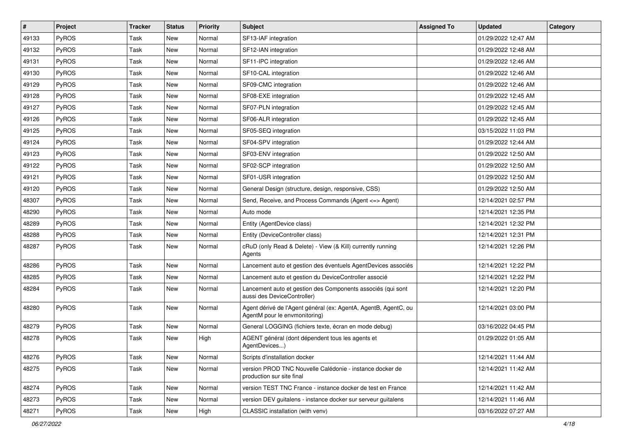| $\vert$ # | Project      | <b>Tracker</b> | <b>Status</b> | <b>Priority</b> | <b>Subject</b>                                                                                   | <b>Assigned To</b> | <b>Updated</b>      | Category |
|-----------|--------------|----------------|---------------|-----------------|--------------------------------------------------------------------------------------------------|--------------------|---------------------|----------|
| 49133     | <b>PyROS</b> | Task           | New           | Normal          | SF13-IAF integration                                                                             |                    | 01/29/2022 12:47 AM |          |
| 49132     | PyROS        | Task           | <b>New</b>    | Normal          | SF12-IAN integration                                                                             |                    | 01/29/2022 12:48 AM |          |
| 49131     | PyROS        | Task           | New           | Normal          | SF11-IPC integration                                                                             |                    | 01/29/2022 12:46 AM |          |
| 49130     | PyROS        | Task           | <b>New</b>    | Normal          | SF10-CAL integration                                                                             |                    | 01/29/2022 12:46 AM |          |
| 49129     | PyROS        | Task           | <b>New</b>    | Normal          | SF09-CMC integration                                                                             |                    | 01/29/2022 12:46 AM |          |
| 49128     | PyROS        | Task           | New           | Normal          | SF08-EXE integration                                                                             |                    | 01/29/2022 12:45 AM |          |
| 49127     | PyROS        | Task           | New           | Normal          | SF07-PLN integration                                                                             |                    | 01/29/2022 12:45 AM |          |
| 49126     | PyROS        | Task           | New           | Normal          | SF06-ALR integration                                                                             |                    | 01/29/2022 12:45 AM |          |
| 49125     | <b>PyROS</b> | Task           | <b>New</b>    | Normal          | SF05-SEQ integration                                                                             |                    | 03/15/2022 11:03 PM |          |
| 49124     | PyROS        | Task           | New           | Normal          | SF04-SPV integration                                                                             |                    | 01/29/2022 12:44 AM |          |
| 49123     | PyROS        | Task           | New           | Normal          | SF03-ENV integration                                                                             |                    | 01/29/2022 12:50 AM |          |
| 49122     | PyROS        | Task           | New           | Normal          | SF02-SCP integration                                                                             |                    | 01/29/2022 12:50 AM |          |
| 49121     | PyROS        | Task           | <b>New</b>    | Normal          | SF01-USR integration                                                                             |                    | 01/29/2022 12:50 AM |          |
| 49120     | PyROS        | Task           | <b>New</b>    | Normal          | General Design (structure, design, responsive, CSS)                                              |                    | 01/29/2022 12:50 AM |          |
| 48307     | PyROS        | Task           | <b>New</b>    | Normal          | Send, Receive, and Process Commands (Agent <= > Agent)                                           |                    | 12/14/2021 02:57 PM |          |
| 48290     | PyROS        | Task           | New           | Normal          | Auto mode                                                                                        |                    | 12/14/2021 12:35 PM |          |
| 48289     | PyROS        | Task           | <b>New</b>    | Normal          | Entity (AgentDevice class)                                                                       |                    | 12/14/2021 12:32 PM |          |
| 48288     | PyROS        | Task           | <b>New</b>    | Normal          | Entity (DeviceController class)                                                                  |                    | 12/14/2021 12:31 PM |          |
| 48287     | <b>PyROS</b> | Task           | New           | Normal          | cRuD (only Read & Delete) - View (& Kill) currently running<br>Agents                            |                    | 12/14/2021 12:26 PM |          |
| 48286     | PyROS        | Task           | <b>New</b>    | Normal          | Lancement auto et gestion des éventuels AgentDevices associés                                    |                    | 12/14/2021 12:22 PM |          |
| 48285     | PyROS        | Task           | <b>New</b>    | Normal          | Lancement auto et gestion du DeviceController associé                                            |                    | 12/14/2021 12:22 PM |          |
| 48284     | PyROS        | Task           | New           | Normal          | Lancement auto et gestion des Components associés (qui sont<br>aussi des DeviceController)       |                    | 12/14/2021 12:20 PM |          |
| 48280     | PyROS        | Task           | New           | Normal          | Agent dérivé de l'Agent général (ex: AgentA, AgentB, AgentC, ou<br>AgentM pour le envmonitoring) |                    | 12/14/2021 03:00 PM |          |
| 48279     | PyROS        | Task           | New           | Normal          | General LOGGING (fichiers texte, écran en mode debug)                                            |                    | 03/16/2022 04:45 PM |          |
| 48278     | PyROS        | Task           | New           | High            | AGENT général (dont dépendent tous les agents et<br>AgentDevices)                                |                    | 01/29/2022 01:05 AM |          |
| 48276     | PyROS        | Task           | New           | Normal          | Scripts d'installation docker                                                                    |                    | 12/14/2021 11:44 AM |          |
| 48275     | PyROS        | Task           | New           | Normal          | version PROD TNC Nouvelle Calédonie - instance docker de<br>production sur site final            |                    | 12/14/2021 11:42 AM |          |
| 48274     | PyROS        | Task           | New           | Normal          | version TEST TNC France - instance docker de test en France                                      |                    | 12/14/2021 11:42 AM |          |
| 48273     | PyROS        | Task           | New           | Normal          | version DEV guitalens - instance docker sur serveur guitalens                                    |                    | 12/14/2021 11:46 AM |          |
| 48271     | PyROS        | Task           | New           | High            | CLASSIC installation (with venv)                                                                 |                    | 03/16/2022 07:27 AM |          |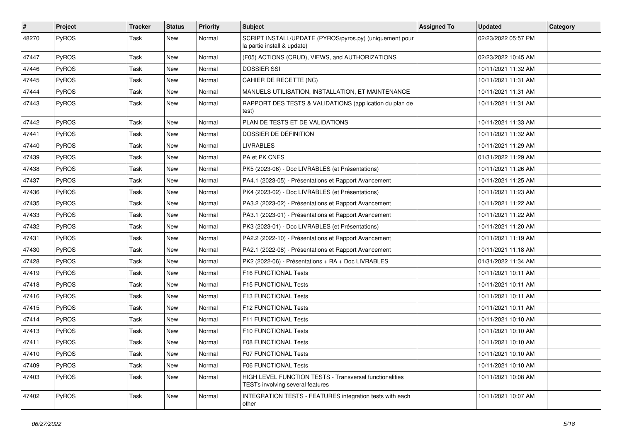| $\pmb{\#}$ | <b>Project</b> | <b>Tracker</b> | <b>Status</b> | <b>Priority</b> | <b>Subject</b>                                                                              | <b>Assigned To</b> | <b>Updated</b>      | Category |
|------------|----------------|----------------|---------------|-----------------|---------------------------------------------------------------------------------------------|--------------------|---------------------|----------|
| 48270      | PyROS          | Task           | New           | Normal          | SCRIPT INSTALL/UPDATE (PYROS/pyros.py) (uniquement pour<br>la partie install & update)      |                    | 02/23/2022 05:57 PM |          |
| 47447      | PyROS          | Task           | New           | Normal          | (F05) ACTIONS (CRUD), VIEWS, and AUTHORIZATIONS                                             |                    | 02/23/2022 10:45 AM |          |
| 47446      | PyROS          | Task           | New           | Normal          | <b>DOSSIER SSI</b>                                                                          |                    | 10/11/2021 11:32 AM |          |
| 47445      | PyROS          | Task           | <b>New</b>    | Normal          | CAHIER DE RECETTE (NC)                                                                      |                    | 10/11/2021 11:31 AM |          |
| 47444      | PyROS          | Task           | New           | Normal          | MANUELS UTILISATION, INSTALLATION, ET MAINTENANCE                                           |                    | 10/11/2021 11:31 AM |          |
| 47443      | PyROS          | Task           | New           | Normal          | RAPPORT DES TESTS & VALIDATIONS (application du plan de<br>test)                            |                    | 10/11/2021 11:31 AM |          |
| 47442      | PyROS          | Task           | <b>New</b>    | Normal          | PLAN DE TESTS ET DE VALIDATIONS                                                             |                    | 10/11/2021 11:33 AM |          |
| 47441      | PyROS          | Task           | <b>New</b>    | Normal          | DOSSIER DE DÉFINITION                                                                       |                    | 10/11/2021 11:32 AM |          |
| 47440      | PyROS          | Task           | New           | Normal          | <b>LIVRABLES</b>                                                                            |                    | 10/11/2021 11:29 AM |          |
| 47439      | PyROS          | Task           | New           | Normal          | PA et PK CNES                                                                               |                    | 01/31/2022 11:29 AM |          |
| 47438      | PyROS          | Task           | <b>New</b>    | Normal          | PK5 (2023-06) - Doc LIVRABLES (et Présentations)                                            |                    | 10/11/2021 11:26 AM |          |
| 47437      | PyROS          | Task           | New           | Normal          | PA4.1 (2023-05) - Présentations et Rapport Avancement                                       |                    | 10/11/2021 11:25 AM |          |
| 47436      | PyROS          | Task           | <b>New</b>    | Normal          | PK4 (2023-02) - Doc LIVRABLES (et Présentations)                                            |                    | 10/11/2021 11:23 AM |          |
| 47435      | PyROS          | Task           | New           | Normal          | PA3.2 (2023-02) - Présentations et Rapport Avancement                                       |                    | 10/11/2021 11:22 AM |          |
| 47433      | PyROS          | Task           | <b>New</b>    | Normal          | PA3.1 (2023-01) - Présentations et Rapport Avancement                                       |                    | 10/11/2021 11:22 AM |          |
| 47432      | PyROS          | Task           | <b>New</b>    | Normal          | PK3 (2023-01) - Doc LIVRABLES (et Présentations)                                            |                    | 10/11/2021 11:20 AM |          |
| 47431      | PyROS          | Task           | New           | Normal          | PA2.2 (2022-10) - Présentations et Rapport Avancement                                       |                    | 10/11/2021 11:19 AM |          |
| 47430      | PyROS          | Task           | <b>New</b>    | Normal          | PA2.1 (2022-08) - Présentations et Rapport Avancement                                       |                    | 10/11/2021 11:18 AM |          |
| 47428      | PyROS          | Task           | New           | Normal          | PK2 (2022-06) - Présentations + RA + Doc LIVRABLES                                          |                    | 01/31/2022 11:34 AM |          |
| 47419      | PyROS          | Task           | New           | Normal          | F16 FUNCTIONAL Tests                                                                        |                    | 10/11/2021 10:11 AM |          |
| 47418      | PyROS          | Task           | New           | Normal          | F15 FUNCTIONAL Tests                                                                        |                    | 10/11/2021 10:11 AM |          |
| 47416      | PyROS          | Task           | New           | Normal          | F13 FUNCTIONAL Tests                                                                        |                    | 10/11/2021 10:11 AM |          |
| 47415      | PyROS          | Task           | New           | Normal          | F12 FUNCTIONAL Tests                                                                        |                    | 10/11/2021 10:11 AM |          |
| 47414      | PyROS          | Task           | New           | Normal          | F11 FUNCTIONAL Tests                                                                        |                    | 10/11/2021 10:10 AM |          |
| 47413      | PyROS          | Task           | <b>New</b>    | Normal          | F10 FUNCTIONAL Tests                                                                        |                    | 10/11/2021 10:10 AM |          |
| 47411      | PyROS          | Task           | <b>New</b>    | Normal          | F08 FUNCTIONAL Tests                                                                        |                    | 10/11/2021 10:10 AM |          |
| 47410      | PyROS          | Task           | New           | Normal          | F07 FUNCTIONAL Tests                                                                        |                    | 10/11/2021 10:10 AM |          |
| 47409      | PyROS          | Task           | New           | Normal          | <b>F06 FUNCTIONAL Tests</b>                                                                 |                    | 10/11/2021 10:10 AM |          |
| 47403      | PyROS          | Task           | New           | Normal          | HIGH LEVEL FUNCTION TESTS - Transversal functionalities<br>TESTs involving several features |                    | 10/11/2021 10:08 AM |          |
| 47402      | PyROS          | Task           | New           | Normal          | INTEGRATION TESTS - FEATURES integration tests with each<br>other                           |                    | 10/11/2021 10:07 AM |          |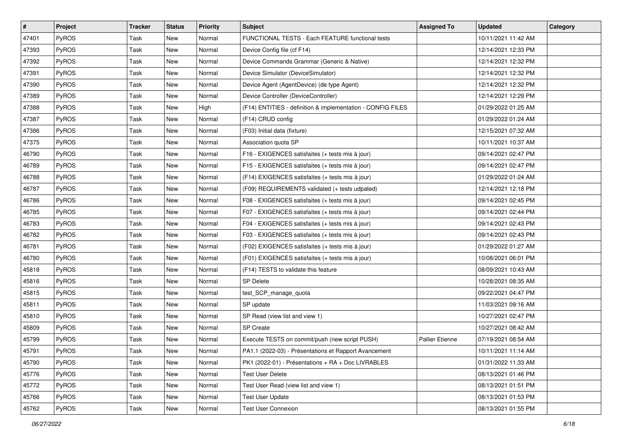| #     | Project      | <b>Tracker</b> | <b>Status</b> | <b>Priority</b> | <b>Subject</b>                                              | <b>Assigned To</b>     | <b>Updated</b>      | Category |
|-------|--------------|----------------|---------------|-----------------|-------------------------------------------------------------|------------------------|---------------------|----------|
| 47401 | PyROS        | Task           | New           | Normal          | FUNCTIONAL TESTS - Each FEATURE functional tests            |                        | 10/11/2021 11:42 AM |          |
| 47393 | PyROS        | Task           | <b>New</b>    | Normal          | Device Config file (cf F14)                                 |                        | 12/14/2021 12:33 PM |          |
| 47392 | PyROS        | Task           | New           | Normal          | Device Commands Grammar (Generic & Native)                  |                        | 12/14/2021 12:32 PM |          |
| 47391 | PyROS        | Task           | New           | Normal          | Device Simulator (DeviceSimulator)                          |                        | 12/14/2021 12:32 PM |          |
| 47390 | PyROS        | Task           | New           | Normal          | Device Agent (AgentDevice) (de type Agent)                  |                        | 12/14/2021 12:32 PM |          |
| 47389 | PyROS        | Task           | New           | Normal          | Device Controller (DeviceController)                        |                        | 12/14/2021 12:29 PM |          |
| 47388 | PyROS        | Task           | New           | High            | (F14) ENTITIES - definition & implementation - CONFIG FILES |                        | 01/29/2022 01:25 AM |          |
| 47387 | PyROS        | Task           | New           | Normal          | (F14) CRUD config                                           |                        | 01/29/2022 01:24 AM |          |
| 47386 | PyROS        | Task           | New           | Normal          | (F03) Initial data (fixture)                                |                        | 12/15/2021 07:32 AM |          |
| 47375 | PyROS        | Task           | New           | Normal          | Association quota SP                                        |                        | 10/11/2021 10:37 AM |          |
| 46790 | PyROS        | Task           | New           | Normal          | F16 - EXIGENCES satisfaites (+ tests mis à jour)            |                        | 09/14/2021 02:47 PM |          |
| 46789 | PyROS        | Task           | New           | Normal          | F15 - EXIGENCES satisfaites (+ tests mis à jour)            |                        | 09/14/2021 02:47 PM |          |
| 46788 | PyROS        | Task           | New           | Normal          | (F14) EXIGENCES satisfaites (+ tests mis à jour)            |                        | 01/29/2022 01:24 AM |          |
| 46787 | PyROS        | Task           | New           | Normal          | (F09) REQUIREMENTS validated (+ tests udpated)              |                        | 12/14/2021 12:18 PM |          |
| 46786 | PyROS        | Task           | New           | Normal          | F08 - EXIGENCES satisfaites (+ tests mis à jour)            |                        | 09/14/2021 02:45 PM |          |
| 46785 | <b>PyROS</b> | Task           | New           | Normal          | F07 - EXIGENCES satisfaites (+ tests mis à jour)            |                        | 09/14/2021 02:44 PM |          |
| 46783 | PyROS        | Task           | New           | Normal          | F04 - EXIGENCES satisfaites (+ tests mis à jour)            |                        | 09/14/2021 02:43 PM |          |
| 46782 | PyROS        | Task           | <b>New</b>    | Normal          | F03 - EXIGENCES satisfaites (+ tests mis à jour)            |                        | 09/14/2021 02:43 PM |          |
| 46781 | PyROS        | Task           | New           | Normal          | (F02) EXIGENCES satisfaites (+ tests mis à jour)            |                        | 01/29/2022 01:27 AM |          |
| 46780 | PyROS        | Task           | New           | Normal          | (F01) EXIGENCES satisfaites (+ tests mis à jour)            |                        | 10/08/2021 06:01 PM |          |
| 45818 | PyROS        | Task           | New           | Normal          | (F14) TESTS to validate this feature                        |                        | 08/09/2021 10:43 AM |          |
| 45816 | PyROS        | Task           | <b>New</b>    | Normal          | <b>SP Delete</b>                                            |                        | 10/28/2021 08:35 AM |          |
| 45815 | PyROS        | Task           | <b>New</b>    | Normal          | test_SCP_manage_quota                                       |                        | 09/22/2021 04:47 PM |          |
| 45811 | <b>PyROS</b> | Task           | New           | Normal          | SP update                                                   |                        | 11/03/2021 09:16 AM |          |
| 45810 | PyROS        | Task           | New           | Normal          | SP Read (view list and view 1)                              |                        | 10/27/2021 02:47 PM |          |
| 45809 | PyROS        | Task           | New           | Normal          | <b>SP</b> Create                                            |                        | 10/27/2021 08:42 AM |          |
| 45799 | PyROS        | Task           | New           | Normal          | Execute TESTS on commit/push (new script PUSH)              | <b>Pallier Etienne</b> | 07/19/2021 08:54 AM |          |
| 45791 | PyROS        | Task           | New           | Normal          | PA1.1 (2022-03) - Présentations et Rapport Avancement       |                        | 10/11/2021 11:14 AM |          |
| 45790 | PyROS        | Task           | New           | Normal          | PK1 (2022-01) - Présentations + RA + Doc LIVRABLES          |                        | 01/31/2022 11:33 AM |          |
| 45776 | PyROS        | Task           | New           | Normal          | <b>Test User Delete</b>                                     |                        | 08/13/2021 01:46 PM |          |
| 45772 | PyROS        | Task           | New           | Normal          | Test User Read (view list and view 1)                       |                        | 08/13/2021 01:51 PM |          |
| 45766 | PyROS        | Task           | New           | Normal          | <b>Test User Update</b>                                     |                        | 08/13/2021 01:53 PM |          |
| 45762 | PyROS        | Task           | New           | Normal          | <b>Test User Connexion</b>                                  |                        | 08/13/2021 01:55 PM |          |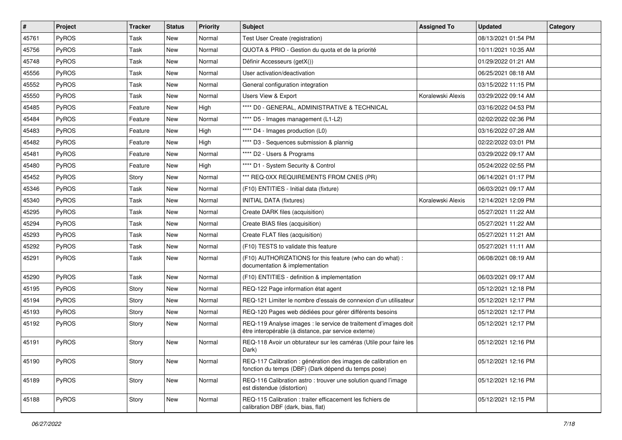| $\#$  | <b>Project</b> | <b>Tracker</b> | <b>Status</b> | <b>Priority</b> | <b>Subject</b>                                                                                                          | <b>Assigned To</b> | <b>Updated</b>      | Category |
|-------|----------------|----------------|---------------|-----------------|-------------------------------------------------------------------------------------------------------------------------|--------------------|---------------------|----------|
| 45761 | PyROS          | Task           | <b>New</b>    | Normal          | Test User Create (registration)                                                                                         |                    | 08/13/2021 01:54 PM |          |
| 45756 | PyROS          | Task           | <b>New</b>    | Normal          | QUOTA & PRIO - Gestion du quota et de la priorité                                                                       |                    | 10/11/2021 10:35 AM |          |
| 45748 | PyROS          | Task           | New           | Normal          | Définir Accesseurs (getX())                                                                                             |                    | 01/29/2022 01:21 AM |          |
| 45556 | PyROS          | Task           | New           | Normal          | User activation/deactivation                                                                                            |                    | 06/25/2021 08:18 AM |          |
| 45552 | PyROS          | Task           | <b>New</b>    | Normal          | General configuration integration                                                                                       |                    | 03/15/2022 11:15 PM |          |
| 45550 | PyROS          | Task           | New           | Normal          | Users View & Export                                                                                                     | Koralewski Alexis  | 03/29/2022 09:14 AM |          |
| 45485 | PyROS          | Feature        | New           | High            | **** D0 - GENERAL, ADMINISTRATIVE & TECHNICAL                                                                           |                    | 03/16/2022 04:53 PM |          |
| 45484 | PyROS          | Feature        | New           | Normal          | **** D5 - Images management (L1-L2)                                                                                     |                    | 02/02/2022 02:36 PM |          |
| 45483 | PyROS          | Feature        | New           | High            | **** D4 - Images production (L0)                                                                                        |                    | 03/16/2022 07:28 AM |          |
| 45482 | PyROS          | Feature        | <b>New</b>    | High            | **** D3 - Sequences submission & plannig                                                                                |                    | 02/22/2022 03:01 PM |          |
| 45481 | PyROS          | Feature        | New           | Normal          | **** D2 - Users & Programs                                                                                              |                    | 03/29/2022 09:17 AM |          |
| 45480 | PyROS          | Feature        | <b>New</b>    | High            | **** D1 - System Security & Control                                                                                     |                    | 05/24/2022 02:55 PM |          |
| 45452 | PyROS          | Story          | New           | Normal          | *** REQ-0XX REQUIREMENTS FROM CNES (PR)                                                                                 |                    | 06/14/2021 01:17 PM |          |
| 45346 | PyROS          | Task           | <b>New</b>    | Normal          | (F10) ENTITIES - Initial data (fixture)                                                                                 |                    | 06/03/2021 09:17 AM |          |
| 45340 | PyROS          | Task           | <b>New</b>    | Normal          | <b>INITIAL DATA (fixtures)</b>                                                                                          | Koralewski Alexis  | 12/14/2021 12:09 PM |          |
| 45295 | PyROS          | Task           | New           | Normal          | Create DARK files (acquisition)                                                                                         |                    | 05/27/2021 11:22 AM |          |
| 45294 | PyROS          | Task           | New           | Normal          | Create BIAS files (acquisition)                                                                                         |                    | 05/27/2021 11:22 AM |          |
| 45293 | PyROS          | Task           | New           | Normal          | Create FLAT files (acquisition)                                                                                         |                    | 05/27/2021 11:21 AM |          |
| 45292 | PyROS          | Task           | <b>New</b>    | Normal          | (F10) TESTS to validate this feature                                                                                    |                    | 05/27/2021 11:11 AM |          |
| 45291 | PyROS          | Task           | New           | Normal          | (F10) AUTHORIZATIONS for this feature (who can do what) :<br>documentation & implementation                             |                    | 06/08/2021 08:19 AM |          |
| 45290 | PyROS          | Task           | <b>New</b>    | Normal          | (F10) ENTITIES - definition & implementation                                                                            |                    | 06/03/2021 09:17 AM |          |
| 45195 | PyROS          | Story          | <b>New</b>    | Normal          | REQ-122 Page information état agent                                                                                     |                    | 05/12/2021 12:18 PM |          |
| 45194 | PyROS          | Story          | New           | Normal          | REQ-121 Limiter le nombre d'essais de connexion d'un utilisateur                                                        |                    | 05/12/2021 12:17 PM |          |
| 45193 | PyROS          | Story          | <b>New</b>    | Normal          | REQ-120 Pages web dédiées pour gérer différents besoins                                                                 |                    | 05/12/2021 12:17 PM |          |
| 45192 | <b>PyROS</b>   | Story          | New           | Normal          | REQ-119 Analyse images : le service de traitement d'images doit<br>être interopérable (à distance, par service externe) |                    | 05/12/2021 12:17 PM |          |
| 45191 | PyROS          | Story          | <b>New</b>    | Normal          | REQ-118 Avoir un obturateur sur les caméras (Utile pour faire les<br>Dark)                                              |                    | 05/12/2021 12:16 PM |          |
| 45190 | PyROS          | Story          | New           | Normal          | REQ-117 Calibration : génération des images de calibration en<br>fonction du temps (DBF) (Dark dépend du temps pose)    |                    | 05/12/2021 12:16 PM |          |
| 45189 | PyROS          | Story          | New           | Normal          | REQ-116 Calibration astro: trouver une solution quand l'image<br>est distendue (distortion)                             |                    | 05/12/2021 12:16 PM |          |
| 45188 | PyROS          | Story          | New           | Normal          | REQ-115 Calibration : traiter efficacement les fichiers de<br>calibration DBF (dark, bias, flat)                        |                    | 05/12/2021 12:15 PM |          |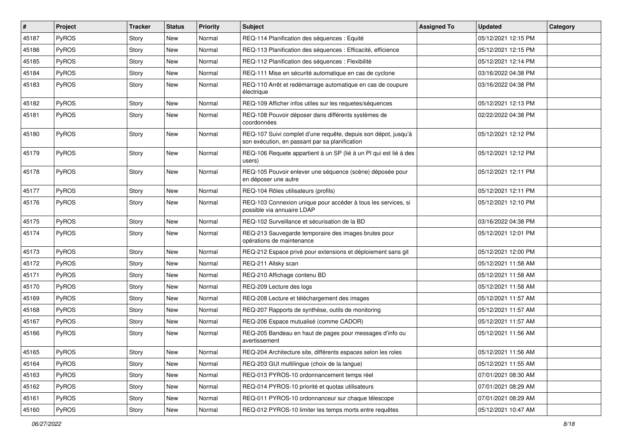| $\vert$ # | Project      | <b>Tracker</b> | <b>Status</b> | <b>Priority</b> | <b>Subject</b>                                                                                                   | <b>Assigned To</b> | <b>Updated</b>      | Category |
|-----------|--------------|----------------|---------------|-----------------|------------------------------------------------------------------------------------------------------------------|--------------------|---------------------|----------|
| 45187     | PyROS        | Story          | New           | Normal          | REQ-114 Planification des séquences : Equité                                                                     |                    | 05/12/2021 12:15 PM |          |
| 45186     | PyROS        | Story          | <b>New</b>    | Normal          | REQ-113 Planification des séquences : Efficacité, efficience                                                     |                    | 05/12/2021 12:15 PM |          |
| 45185     | PyROS        | Story          | New           | Normal          | REQ-112 Planification des séquences : Flexibilité                                                                |                    | 05/12/2021 12:14 PM |          |
| 45184     | PyROS        | Story          | New           | Normal          | REQ-111 Mise en sécurité automatique en cas de cyclone                                                           |                    | 03/16/2022 04:38 PM |          |
| 45183     | PyROS        | Story          | <b>New</b>    | Normal          | REQ-110 Arrêt et redémarrage automatique en cas de coupure<br>électrique                                         |                    | 03/16/2022 04:38 PM |          |
| 45182     | PyROS        | Story          | New           | Normal          | REQ-109 Afficher infos utiles sur les requetes/séquences                                                         |                    | 05/12/2021 12:13 PM |          |
| 45181     | PyROS        | Story          | New           | Normal          | REQ-108 Pouvoir déposer dans différents systèmes de<br>coordonnées                                               |                    | 02/22/2022 04:38 PM |          |
| 45180     | PyROS        | Story          | New           | Normal          | REQ-107 Suivi complet d'une requête, depuis son dépot, jusqu'à<br>son exécution, en passant par sa planification |                    | 05/12/2021 12:12 PM |          |
| 45179     | PyROS        | Story          | New           | Normal          | REQ-106 Requete appartient à un SP (lié à un PI qui est lié à des<br>users)                                      |                    | 05/12/2021 12:12 PM |          |
| 45178     | PyROS        | Story          | New           | Normal          | REQ-105 Pouvoir enlever une séquence (scène) déposée pour<br>en déposer une autre                                |                    | 05/12/2021 12:11 PM |          |
| 45177     | PyROS        | Story          | <b>New</b>    | Normal          | REQ-104 Rôles utilisateurs (profils)                                                                             |                    | 05/12/2021 12:11 PM |          |
| 45176     | <b>PyROS</b> | Story          | New           | Normal          | REQ-103 Connexion unique pour accéder à tous les services, si<br>possible via annuaire LDAP                      |                    | 05/12/2021 12:10 PM |          |
| 45175     | PyROS        | Story          | New           | Normal          | REQ-102 Surveillance et sécurisation de la BD                                                                    |                    | 03/16/2022 04:38 PM |          |
| 45174     | PyROS        | Story          | <b>New</b>    | Normal          | REQ-213 Sauvegarde temporaire des images brutes pour<br>opérations de maintenance                                |                    | 05/12/2021 12:01 PM |          |
| 45173     | PyROS        | Story          | New           | Normal          | REQ-212 Espace privé pour extensions et déploiement sans git                                                     |                    | 05/12/2021 12:00 PM |          |
| 45172     | PyROS        | Story          | <b>New</b>    | Normal          | REQ-211 Allsky scan                                                                                              |                    | 05/12/2021 11:58 AM |          |
| 45171     | PyROS        | Story          | <b>New</b>    | Normal          | REQ-210 Affichage contenu BD                                                                                     |                    | 05/12/2021 11:58 AM |          |
| 45170     | <b>PyROS</b> | Story          | New           | Normal          | REQ-209 Lecture des logs                                                                                         |                    | 05/12/2021 11:58 AM |          |
| 45169     | PyROS        | Story          | New           | Normal          | REQ-208 Lecture et téléchargement des images                                                                     |                    | 05/12/2021 11:57 AM |          |
| 45168     | PyROS        | Story          | New           | Normal          | REQ-207 Rapports de synthèse, outils de monitoring                                                               |                    | 05/12/2021 11:57 AM |          |
| 45167     | PyROS        | Story          | <b>New</b>    | Normal          | REQ-206 Espace mutualisé (comme CADOR)                                                                           |                    | 05/12/2021 11:57 AM |          |
| 45166     | PyROS        | Story          | <b>New</b>    | Normal          | REQ-205 Bandeau en haut de pages pour messages d'info ou<br>avertissement                                        |                    | 05/12/2021 11:56 AM |          |
| 45165     | PyROS        | Story          | New           | Normal          | REQ-204 Architecture site, différents espaces selon les roles                                                    |                    | 05/12/2021 11:56 AM |          |
| 45164     | <b>PyROS</b> | Story          | New           | Normal          | REQ-203 GUI multilingue (choix de la langue)                                                                     |                    | 05/12/2021 11:55 AM |          |
| 45163     | PyROS        | Story          | New           | Normal          | REQ-013 PYROS-10 ordonnancement temps réel                                                                       |                    | 07/01/2021 08:30 AM |          |
| 45162     | PyROS        | Story          | New           | Normal          | REQ-014 PYROS-10 priorité et quotas utilisateurs                                                                 |                    | 07/01/2021 08:29 AM |          |
| 45161     | PyROS        | Story          | New           | Normal          | REQ-011 PYROS-10 ordonnanceur sur chaque télescope                                                               |                    | 07/01/2021 08:29 AM |          |
| 45160     | PyROS        | Story          | New           | Normal          | REQ-012 PYROS-10 limiter les temps morts entre requêtes                                                          |                    | 05/12/2021 10:47 AM |          |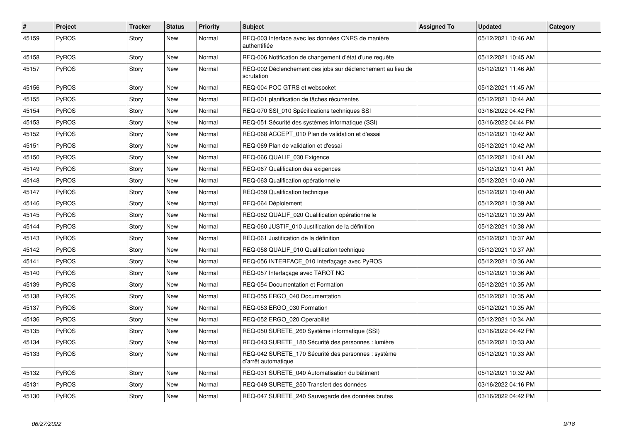| #     | Project      | <b>Tracker</b> | <b>Status</b> | <b>Priority</b> | <b>Subject</b>                                                             | <b>Assigned To</b> | <b>Updated</b>      | Category |
|-------|--------------|----------------|---------------|-----------------|----------------------------------------------------------------------------|--------------------|---------------------|----------|
| 45159 | PyROS        | Story          | New           | Normal          | REQ-003 Interface avec les données CNRS de manière<br>authentifiée         |                    | 05/12/2021 10:46 AM |          |
| 45158 | PyROS        | Story          | New           | Normal          | REQ-006 Notification de changement d'état d'une requête                    |                    | 05/12/2021 10:45 AM |          |
| 45157 | <b>PyROS</b> | Story          | New           | Normal          | REQ-002 Déclenchement des jobs sur déclenchement au lieu de<br>scrutation  |                    | 05/12/2021 11:46 AM |          |
| 45156 | PyROS        | Story          | New           | Normal          | REQ-004 POC GTRS et websocket                                              |                    | 05/12/2021 11:45 AM |          |
| 45155 | PyROS        | Story          | New           | Normal          | REQ-001 planification de tâches récurrentes                                |                    | 05/12/2021 10:44 AM |          |
| 45154 | <b>PyROS</b> | Story          | New           | Normal          | REQ-070 SSI_010 Spécifications techniques SSI                              |                    | 03/16/2022 04:42 PM |          |
| 45153 | <b>PyROS</b> | Story          | New           | Normal          | REQ-051 Sécurité des systèmes informatique (SSI)                           |                    | 03/16/2022 04:44 PM |          |
| 45152 | PyROS        | Story          | New           | Normal          | REQ-068 ACCEPT_010 Plan de validation et d'essai                           |                    | 05/12/2021 10:42 AM |          |
| 45151 | PyROS        | Story          | <b>New</b>    | Normal          | REQ-069 Plan de validation et d'essai                                      |                    | 05/12/2021 10:42 AM |          |
| 45150 | PyROS        | Story          | New           | Normal          | REQ-066 QUALIF_030 Exigence                                                |                    | 05/12/2021 10:41 AM |          |
| 45149 | <b>PyROS</b> | Story          | New           | Normal          | REQ-067 Qualification des exigences                                        |                    | 05/12/2021 10:41 AM |          |
| 45148 | PyROS        | Story          | New           | Normal          | REQ-063 Qualification opérationnelle                                       |                    | 05/12/2021 10:40 AM |          |
| 45147 | PyROS        | Story          | <b>New</b>    | Normal          | REQ-059 Qualification technique                                            |                    | 05/12/2021 10:40 AM |          |
| 45146 | <b>PyROS</b> | Story          | New           | Normal          | REQ-064 Déploiement                                                        |                    | 05/12/2021 10:39 AM |          |
| 45145 | PyROS        | Story          | <b>New</b>    | Normal          | REQ-062 QUALIF_020 Qualification opérationnelle                            |                    | 05/12/2021 10:39 AM |          |
| 45144 | PyROS        | Story          | New           | Normal          | REQ-060 JUSTIF 010 Justification de la définition                          |                    | 05/12/2021 10:38 AM |          |
| 45143 | PyROS        | Story          | New           | Normal          | REQ-061 Justification de la définition                                     |                    | 05/12/2021 10:37 AM |          |
| 45142 | <b>PyROS</b> | Story          | New           | Normal          | REQ-058 QUALIF 010 Qualification technique                                 |                    | 05/12/2021 10:37 AM |          |
| 45141 | <b>PyROS</b> | Story          | New           | Normal          | REQ-056 INTERFACE_010 Interfaçage avec PyROS                               |                    | 05/12/2021 10:36 AM |          |
| 45140 | <b>PyROS</b> | Story          | New           | Normal          | REQ-057 Interfaçage avec TAROT NC                                          |                    | 05/12/2021 10:36 AM |          |
| 45139 | PyROS        | Story          | New           | Normal          | REQ-054 Documentation et Formation                                         |                    | 05/12/2021 10:35 AM |          |
| 45138 | <b>PyROS</b> | Story          | New           | Normal          | REQ-055 ERGO_040 Documentation                                             |                    | 05/12/2021 10:35 AM |          |
| 45137 | <b>PyROS</b> | Story          | New           | Normal          | REQ-053 ERGO 030 Formation                                                 |                    | 05/12/2021 10:35 AM |          |
| 45136 | PyROS        | Story          | New           | Normal          | REQ-052 ERGO_020 Operabilité                                               |                    | 05/12/2021 10:34 AM |          |
| 45135 | <b>PyROS</b> | Story          | New           | Normal          | REQ-050 SURETE 260 Système informatique (SSI)                              |                    | 03/16/2022 04:42 PM |          |
| 45134 | PyROS        | Story          | New           | Normal          | REQ-043 SURETE 180 Sécurité des personnes : lumière                        |                    | 05/12/2021 10:33 AM |          |
| 45133 | <b>PyROS</b> | Story          | New           | Normal          | REQ-042 SURETE 170 Sécurité des personnes : système<br>d'arrêt automatique |                    | 05/12/2021 10:33 AM |          |
| 45132 | <b>PyROS</b> | Story          | New           | Normal          | REQ-031 SURETE 040 Automatisation du bâtiment                              |                    | 05/12/2021 10:32 AM |          |
| 45131 | PyROS        | Story          | New           | Normal          | REQ-049 SURETE_250 Transfert des données                                   |                    | 03/16/2022 04:16 PM |          |
| 45130 | PyROS        | Story          | New           | Normal          | REQ-047 SURETE_240 Sauvegarde des données brutes                           |                    | 03/16/2022 04:42 PM |          |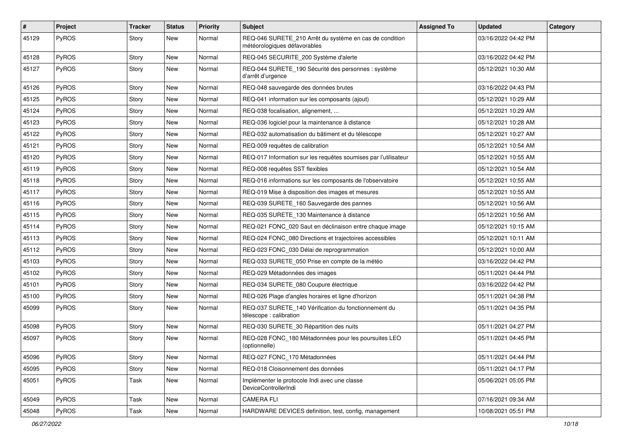| $\sharp$ | Project      | <b>Tracker</b> | <b>Status</b> | <b>Priority</b> | <b>Subject</b>                                                                          | <b>Assigned To</b> | <b>Updated</b>      | Category |
|----------|--------------|----------------|---------------|-----------------|-----------------------------------------------------------------------------------------|--------------------|---------------------|----------|
| 45129    | PyROS        | Story          | New           | Normal          | REQ-046 SURETE_210 Arrêt du système en cas de condition<br>météorologiques défavorables |                    | 03/16/2022 04:42 PM |          |
| 45128    | <b>PyROS</b> | Story          | New           | Normal          | REQ-045 SECURITE_200 Système d'alerte                                                   |                    | 03/16/2022 04:42 PM |          |
| 45127    | PyROS        | Story          | New           | Normal          | REQ-044 SURETE 190 Sécurité des personnes : système<br>d'arrêt d'urgence                |                    | 05/12/2021 10:30 AM |          |
| 45126    | <b>PyROS</b> | Story          | New           | Normal          | REQ-048 sauvegarde des données brutes                                                   |                    | 03/16/2022 04:43 PM |          |
| 45125    | PyROS        | Story          | <b>New</b>    | Normal          | REQ-041 information sur les composants (ajout)                                          |                    | 05/12/2021 10:29 AM |          |
| 45124    | <b>PyROS</b> | Story          | New           | Normal          | REQ-038 focalisation, alignement,                                                       |                    | 05/12/2021 10:29 AM |          |
| 45123    | PyROS        | Story          | New           | Normal          | REQ-036 logiciel pour la maintenance à distance                                         |                    | 05/12/2021 10:28 AM |          |
| 45122    | PyROS        | Story          | New           | Normal          | REQ-032 automatisation du bâtiment et du télescope                                      |                    | 05/12/2021 10:27 AM |          |
| 45121    | PyROS        | Story          | New           | Normal          | REQ-009 requêtes de calibration                                                         |                    | 05/12/2021 10:54 AM |          |
| 45120    | PyROS        | Story          | New           | Normal          | REQ-017 Information sur les requêtes soumises par l'utilisateur                         |                    | 05/12/2021 10:55 AM |          |
| 45119    | PyROS        | Story          | New           | Normal          | REQ-008 requêtes SST flexibles                                                          |                    | 05/12/2021 10:54 AM |          |
| 45118    | PyROS        | Story          | New           | Normal          | REQ-016 informations sur les composants de l'observatoire                               |                    | 05/12/2021 10:55 AM |          |
| 45117    | PyROS        | Story          | <b>New</b>    | Normal          | REQ-019 Mise à disposition des images et mesures                                        |                    | 05/12/2021 10:55 AM |          |
| 45116    | PyROS        | Story          | New           | Normal          | REQ-039 SURETE_160 Sauvegarde des pannes                                                |                    | 05/12/2021 10:56 AM |          |
| 45115    | PyROS        | Story          | New           | Normal          | REQ-035 SURETE_130 Maintenance à distance                                               |                    | 05/12/2021 10:56 AM |          |
| 45114    | PyROS        | Story          | New           | Normal          | REQ-021 FONC 020 Saut en déclinaison entre chaque image                                 |                    | 05/12/2021 10:15 AM |          |
| 45113    | PyROS        | Story          | New           | Normal          | REQ-024 FONC_080 Directions et trajectoires accessibles                                 |                    | 05/12/2021 10:11 AM |          |
| 45112    | PyROS        | Story          | <b>New</b>    | Normal          | REQ-023 FONC_030 Délai de reprogrammation                                               |                    | 05/12/2021 10:00 AM |          |
| 45103    | <b>PyROS</b> | Story          | New           | Normal          | REQ-033 SURETE_050 Prise en compte de la météo                                          |                    | 03/16/2022 04:42 PM |          |
| 45102    | PyROS        | Story          | New           | Normal          | REQ-029 Métadonnées des images                                                          |                    | 05/11/2021 04:44 PM |          |
| 45101    | PyROS        | Story          | New           | Normal          | REQ-034 SURETE_080 Coupure électrique                                                   |                    | 03/16/2022 04:42 PM |          |
| 45100    | PyROS        | Story          | New           | Normal          | REQ-026 Plage d'angles horaires et ligne d'horizon                                      |                    | 05/11/2021 04:38 PM |          |
| 45099    | PyROS        | Story          | New           | Normal          | REQ-037 SURETE 140 Vérification du fonctionnement du<br>télescope : calibration         |                    | 05/11/2021 04:35 PM |          |
| 45098    | PyROS        | Story          | New           | Normal          | REQ-030 SURETE_30 Répartition des nuits                                                 |                    | 05/11/2021 04:27 PM |          |
| 45097    | PyROS        | Story          | New           | Normal          | REQ-028 FONC_180 Métadonnées pour les poursuites LEO<br>(optionnelle)                   |                    | 05/11/2021 04:45 PM |          |
| 45096    | PyROS        | Story          | New           | Normal          | REQ-027 FONC_170 Métadonnées                                                            |                    | 05/11/2021 04:44 PM |          |
| 45095    | PyROS        | Story          | New           | Normal          | REQ-018 Cloisonnement des données                                                       |                    | 05/11/2021 04:17 PM |          |
| 45051    | PyROS        | Task           | New           | Normal          | Implémenter le protocole Indi avec une classe<br>DeviceControllerIndi                   |                    | 05/06/2021 05:05 PM |          |
| 45049    | PyROS        | Task           | New           | Normal          | <b>CAMERA FLI</b>                                                                       |                    | 07/16/2021 09:34 AM |          |
| 45048    | PyROS        | Task           | New           | Normal          | HARDWARE DEVICES definition, test, config, management                                   |                    | 10/08/2021 05:51 PM |          |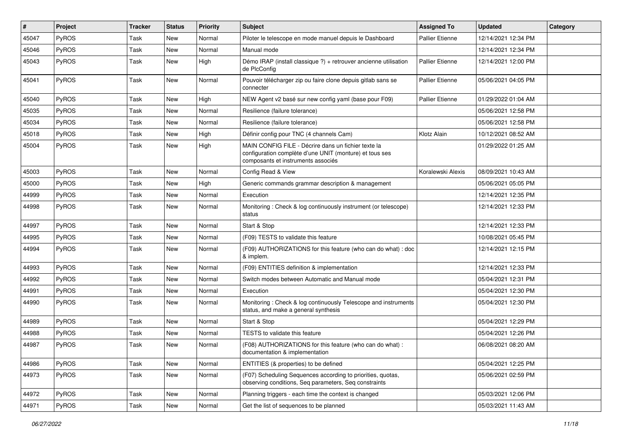| #     | <b>Project</b> | Tracker | <b>Status</b> | <b>Priority</b> | <b>Subject</b>                                                                                                                                       | <b>Assigned To</b>     | <b>Updated</b>      | Category |
|-------|----------------|---------|---------------|-----------------|------------------------------------------------------------------------------------------------------------------------------------------------------|------------------------|---------------------|----------|
| 45047 | PyROS          | Task    | <b>New</b>    | Normal          | Piloter le telescope en mode manuel depuis le Dashboard                                                                                              | <b>Pallier Etienne</b> | 12/14/2021 12:34 PM |          |
| 45046 | PyROS          | Task    | <b>New</b>    | Normal          | Manual mode                                                                                                                                          |                        | 12/14/2021 12:34 PM |          |
| 45043 | PyROS          | Task    | New           | High            | Démo IRAP (install classique ?) + retrouver ancienne utilisation<br>de PlcConfig                                                                     | <b>Pallier Etienne</b> | 12/14/2021 12:00 PM |          |
| 45041 | PyROS          | Task    | <b>New</b>    | Normal          | Pouvoir télécharger zip ou faire clone depuis gitlab sans se<br>connecter                                                                            | <b>Pallier Etienne</b> | 05/06/2021 04:05 PM |          |
| 45040 | PyROS          | Task    | New           | High            | NEW Agent v2 basé sur new config yaml (base pour F09)                                                                                                | <b>Pallier Etienne</b> | 01/29/2022 01:04 AM |          |
| 45035 | PyROS          | Task    | New           | Normal          | Resilience (failure tolerance)                                                                                                                       |                        | 05/06/2021 12:58 PM |          |
| 45034 | PyROS          | Task    | <b>New</b>    | Normal          | Resilience (failure tolerance)                                                                                                                       |                        | 05/06/2021 12:58 PM |          |
| 45018 | PyROS          | Task    | <b>New</b>    | High            | Définir config pour TNC (4 channels Cam)                                                                                                             | Klotz Alain            | 10/12/2021 08:52 AM |          |
| 45004 | PyROS          | Task    | <b>New</b>    | High            | MAIN CONFIG FILE - Décrire dans un fichier texte la<br>configuration complète d'une UNIT (monture) et tous ses<br>composants et instruments associés |                        | 01/29/2022 01:25 AM |          |
| 45003 | <b>PyROS</b>   | Task    | New           | Normal          | Config Read & View                                                                                                                                   | Koralewski Alexis      | 08/09/2021 10:43 AM |          |
| 45000 | PyROS          | Task    | New           | High            | Generic commands grammar description & management                                                                                                    |                        | 05/06/2021 05:05 PM |          |
| 44999 | PyROS          | Task    | New           | Normal          | Execution                                                                                                                                            |                        | 12/14/2021 12:35 PM |          |
| 44998 | PyROS          | Task    | <b>New</b>    | Normal          | Monitoring: Check & log continuously instrument (or telescope)<br>status                                                                             |                        | 12/14/2021 12:33 PM |          |
| 44997 | PyROS          | Task    | New           | Normal          | Start & Stop                                                                                                                                         |                        | 12/14/2021 12:33 PM |          |
| 44995 | PyROS          | Task    | New           | Normal          | (F09) TESTS to validate this feature                                                                                                                 |                        | 10/08/2021 05:45 PM |          |
| 44994 | PyROS          | Task    | New           | Normal          | (F09) AUTHORIZATIONS for this feature (who can do what) : doc<br>& implem.                                                                           |                        | 12/14/2021 12:15 PM |          |
| 44993 | PyROS          | Task    | New           | Normal          | (F09) ENTITIES definition & implementation                                                                                                           |                        | 12/14/2021 12:33 PM |          |
| 44992 | PyROS          | Task    | <b>New</b>    | Normal          | Switch modes between Automatic and Manual mode                                                                                                       |                        | 05/04/2021 12:31 PM |          |
| 44991 | PyROS          | Task    | <b>New</b>    | Normal          | Execution                                                                                                                                            |                        | 05/04/2021 12:30 PM |          |
| 44990 | PyROS          | Task    | New           | Normal          | Monitoring: Check & log continuously Telescope and instruments<br>status, and make a general synthesis                                               |                        | 05/04/2021 12:30 PM |          |
| 44989 | PyROS          | Task    | <b>New</b>    | Normal          | Start & Stop                                                                                                                                         |                        | 05/04/2021 12:29 PM |          |
| 44988 | PyROS          | Task    | <b>New</b>    | Normal          | TESTS to validate this feature                                                                                                                       |                        | 05/04/2021 12:26 PM |          |
| 44987 | <b>PyROS</b>   | Task    | New           | Normal          | (F08) AUTHORIZATIONS for this feature (who can do what):<br>documentation & implementation                                                           |                        | 06/08/2021 08:20 AM |          |
| 44986 | PyROS          | Task    | New           | Normal          | ENTITIES (& properties) to be defined                                                                                                                |                        | 05/04/2021 12:25 PM |          |
| 44973 | PyROS          | Task    | New           | Normal          | (F07) Scheduling Sequences according to priorities, quotas,<br>observing conditions, Seq parameters, Seq constraints                                 |                        | 05/06/2021 02:59 PM |          |
| 44972 | PyROS          | Task    | New           | Normal          | Planning triggers - each time the context is changed                                                                                                 |                        | 05/03/2021 12:06 PM |          |
| 44971 | PyROS          | Task    | New           | Normal          | Get the list of sequences to be planned                                                                                                              |                        | 05/03/2021 11:43 AM |          |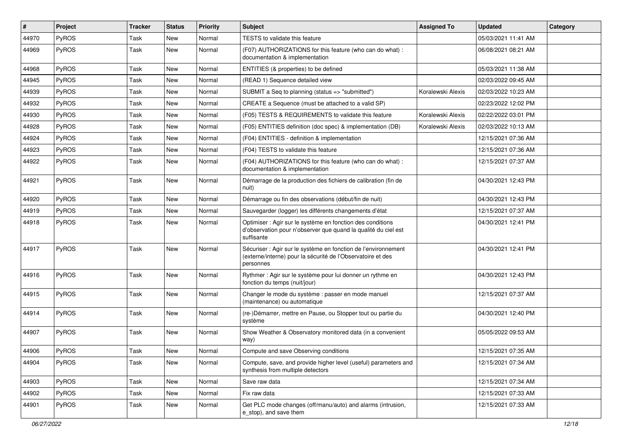| #     | Project      | Tracker | <b>Status</b> | <b>Priority</b> | <b>Subject</b>                                                                                                                             | <b>Assigned To</b> | <b>Updated</b>      | Category |
|-------|--------------|---------|---------------|-----------------|--------------------------------------------------------------------------------------------------------------------------------------------|--------------------|---------------------|----------|
| 44970 | PyROS        | Task    | <b>New</b>    | Normal          | TESTS to validate this feature                                                                                                             |                    | 05/03/2021 11:41 AM |          |
| 44969 | PyROS        | Task    | <b>New</b>    | Normal          | (F07) AUTHORIZATIONS for this feature (who can do what) :<br>documentation & implementation                                                |                    | 06/08/2021 08:21 AM |          |
| 44968 | PyROS        | Task    | New           | Normal          | ENTITIES (& properties) to be defined                                                                                                      |                    | 05/03/2021 11:38 AM |          |
| 44945 | PyROS        | Task    | <b>New</b>    | Normal          | (READ 1) Sequence detailed view                                                                                                            |                    | 02/03/2022 09:45 AM |          |
| 44939 | <b>PyROS</b> | Task    | New           | Normal          | SUBMIT a Seq to planning (status => "submitted")                                                                                           | Koralewski Alexis  | 02/03/2022 10:23 AM |          |
| 44932 | PyROS        | Task    | <b>New</b>    | Normal          | CREATE a Sequence (must be attached to a valid SP)                                                                                         |                    | 02/23/2022 12:02 PM |          |
| 44930 | PyROS        | Task    | New           | Normal          | (F05) TESTS & REQUIREMENTS to validate this feature                                                                                        | Koralewski Alexis  | 02/22/2022 03:01 PM |          |
| 44928 | PyROS        | Task    | <b>New</b>    | Normal          | (F05) ENTITIES definition (doc spec) & implementation (DB)                                                                                 | Koralewski Alexis  | 02/03/2022 10:13 AM |          |
| 44924 | PyROS        | Task    | <b>New</b>    | Normal          | (F04) ENTITIES - definition & implementation                                                                                               |                    | 12/15/2021 07:36 AM |          |
| 44923 | PyROS        | Task    | New           | Normal          | (F04) TESTS to validate this feature                                                                                                       |                    | 12/15/2021 07:36 AM |          |
| 44922 | PyROS        | Task    | New           | Normal          | (F04) AUTHORIZATIONS for this feature (who can do what) :<br>documentation & implementation                                                |                    | 12/15/2021 07:37 AM |          |
| 44921 | PyROS        | Task    | <b>New</b>    | Normal          | Démarrage de la production des fichiers de calibration (fin de<br>nuit)                                                                    |                    | 04/30/2021 12:43 PM |          |
| 44920 | PyROS        | Task    | New           | Normal          | Démarrage ou fin des observations (début/fin de nuit)                                                                                      |                    | 04/30/2021 12:43 PM |          |
| 44919 | PyROS        | Task    | <b>New</b>    | Normal          | Sauvegarder (logger) les différents changements d'état                                                                                     |                    | 12/15/2021 07:37 AM |          |
| 44918 | PyROS        | Task    | <b>New</b>    | Normal          | Optimiser : Agir sur le système en fonction des conditions<br>d'observation pour n'observer que quand la qualité du ciel est<br>suffisante |                    | 04/30/2021 12:41 PM |          |
| 44917 | PyROS        | Task    | New           | Normal          | Sécuriser : Agir sur le système en fonction de l'environnement<br>(externe/interne) pour la sécurité de l'Observatoire et des<br>personnes |                    | 04/30/2021 12:41 PM |          |
| 44916 | PyROS        | Task    | <b>New</b>    | Normal          | Rythmer : Agir sur le système pour lui donner un rythme en<br>fonction du temps (nuit/jour)                                                |                    | 04/30/2021 12:43 PM |          |
| 44915 | PyROS        | Task    | New           | Normal          | Changer le mode du système : passer en mode manuel<br>(maintenance) ou automatique                                                         |                    | 12/15/2021 07:37 AM |          |
| 44914 | PyROS        | Task    | New           | Normal          | (re-)Démarrer, mettre en Pause, ou Stopper tout ou partie du<br>système                                                                    |                    | 04/30/2021 12:40 PM |          |
| 44907 | PyROS        | Task    | New           | Normal          | Show Weather & Observatory monitored data (in a convenient<br>way)                                                                         |                    | 05/05/2022 09:53 AM |          |
| 44906 | PyROS        | Task    | New           | Normal          | Compute and save Observing conditions                                                                                                      |                    | 12/15/2021 07:35 AM |          |
| 44904 | <b>PyROS</b> | Task    | New           | Normal          | Compute, save, and provide higher level (useful) parameters and<br>synthesis from multiple detectors                                       |                    | 12/15/2021 07:34 AM |          |
| 44903 | PyROS        | Task    | New           | Normal          | Save raw data                                                                                                                              |                    | 12/15/2021 07:34 AM |          |
| 44902 | PyROS        | Task    | New           | Normal          | Fix raw data                                                                                                                               |                    | 12/15/2021 07:33 AM |          |
| 44901 | PyROS        | Task    | New           | Normal          | Get PLC mode changes (off/manu/auto) and alarms (intrusion,<br>e_stop), and save them                                                      |                    | 12/15/2021 07:33 AM |          |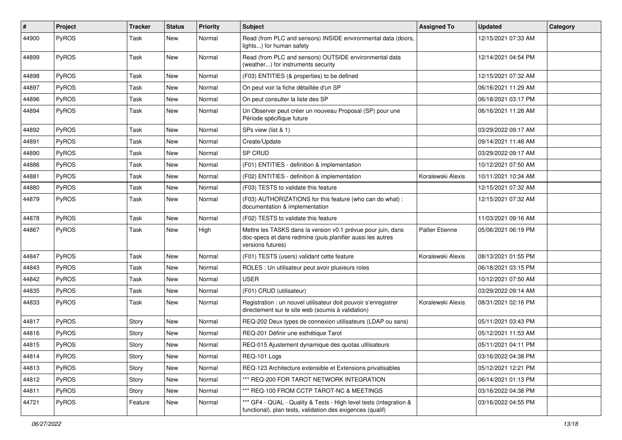| $\vert$ # | <b>Project</b> | Tracker | <b>Status</b> | <b>Priority</b> | <b>Subject</b>                                                                                                                                  | <b>Assigned To</b> | <b>Updated</b>      | Category |
|-----------|----------------|---------|---------------|-----------------|-------------------------------------------------------------------------------------------------------------------------------------------------|--------------------|---------------------|----------|
| 44900     | PyROS          | Task    | <b>New</b>    | Normal          | Read (from PLC and sensors) INSIDE environmental data (doors,<br>lights) for human safety                                                       |                    | 12/15/2021 07:33 AM |          |
| 44899     | PyROS          | Task    | New           | Normal          | Read (from PLC and sensors) OUTSIDE environmental data<br>(weather) for instruments security                                                    |                    | 12/14/2021 04:54 PM |          |
| 44898     | PyROS          | Task    | <b>New</b>    | Normal          | (F03) ENTITIES (& properties) to be defined                                                                                                     |                    | 12/15/2021 07:32 AM |          |
| 44897     | <b>PyROS</b>   | Task    | New           | Normal          | On peut voir la fiche détaillée d'un SP                                                                                                         |                    | 06/16/2021 11:29 AM |          |
| 44896     | PyROS          | Task    | <b>New</b>    | Normal          | On peut consulter la liste des SP                                                                                                               |                    | 06/18/2021 03:17 PM |          |
| 44894     | PyROS          | Task    | New           | Normal          | Un Observer peut créer un nouveau Proposal (SP) pour une<br>Période spécifique future                                                           |                    | 06/16/2021 11:28 AM |          |
| 44892     | PyROS          | Task    | <b>New</b>    | Normal          | SPs view (list & 1)                                                                                                                             |                    | 03/29/2022 09:17 AM |          |
| 44891     | PyROS          | Task    | New           | Normal          | Create/Update                                                                                                                                   |                    | 09/14/2021 11:48 AM |          |
| 44890     | PyROS          | Task    | <b>New</b>    | Normal          | SP CRUD                                                                                                                                         |                    | 03/29/2022 09:17 AM |          |
| 44886     | PyROS          | Task    | <b>New</b>    | Normal          | (F01) ENTITIES - definition & implementation                                                                                                    |                    | 10/12/2021 07:50 AM |          |
| 44881     | <b>PyROS</b>   | Task    | New           | Normal          | (F02) ENTITIES - definition & implementation                                                                                                    | Koralewski Alexis  | 10/11/2021 10:34 AM |          |
| 44880     | PyROS          | Task    | <b>New</b>    | Normal          | (F03) TESTS to validate this feature                                                                                                            |                    | 12/15/2021 07:32 AM |          |
| 44879     | PyROS          | Task    | New           | Normal          | (F03) AUTHORIZATIONS for this feature (who can do what) :<br>documentation & implementation                                                     |                    | 12/15/2021 07:32 AM |          |
| 44878     | PyROS          | Task    | <b>New</b>    | Normal          | (F02) TESTS to validate this feature                                                                                                            |                    | 11/03/2021 09:16 AM |          |
| 44867     | PyROS          | Task    | <b>New</b>    | High            | Mettre les TASKS dans la version v0.1 prévue pour juin, dans<br>doc-specs et dans redmine (puis planifier aussi les autres<br>versions futures) | Pallier Etienne    | 05/06/2021 06:19 PM |          |
| 44847     | PyROS          | Task    | <b>New</b>    | Normal          | (F01) TESTS (users) validant cette feature                                                                                                      | Koralewski Alexis  | 08/13/2021 01:55 PM |          |
| 44843     | PyROS          | Task    | New           | Normal          | ROLES : Un utilisateur peut avoir plusieurs roles                                                                                               |                    | 06/18/2021 03:15 PM |          |
| 44842     | PyROS          | Task    | New           | Normal          | <b>USER</b>                                                                                                                                     |                    | 10/12/2021 07:50 AM |          |
| 44835     | PyROS          | Task    | <b>New</b>    | Normal          | (F01) CRUD (utilisateur)                                                                                                                        |                    | 03/29/2022 09:14 AM |          |
| 44833     | PyROS          | Task    | New           | Normal          | Registration : un nouvel utilisateur doit pouvoir s'enregistrer<br>directement sur le site web (soumis à validation)                            | Koralewski Alexis  | 08/31/2021 02:16 PM |          |
| 44817     | PyROS          | Story   | New           | Normal          | REQ-202 Deux types de connexion utilisateurs (LDAP ou sans)                                                                                     |                    | 05/11/2021 03:43 PM |          |
| 44816     | PyROS          | Story   | <b>New</b>    | Normal          | REQ-201 Définir une esthétique Tarot                                                                                                            |                    | 05/12/2021 11:53 AM |          |
| 44815     | PyROS          | Story   | New           | Normal          | REQ-015 Ajustement dynamique des quotas utilisateurs                                                                                            |                    | 05/11/2021 04:11 PM |          |
| 44814     | PyROS          | Story   | New           | Normal          | REQ-101 Logs                                                                                                                                    |                    | 03/16/2022 04:38 PM |          |
| 44813     | PyROS          | Story   | New           | Normal          | REQ-123 Architecture extensible et Extensions privatisables                                                                                     |                    | 05/12/2021 12:21 PM |          |
| 44812     | PyROS          | Story   | New           | Normal          | *** REQ-200 FOR TAROT NETWORK INTEGRATION                                                                                                       |                    | 06/14/2021 01:13 PM |          |
| 44811     | PyROS          | Story   | New           | Normal          | *** REQ-100 FROM CCTP TAROT-NC & MEETINGS                                                                                                       |                    | 03/16/2022 04:38 PM |          |
| 44721     | PyROS          | Feature | New           | Normal          | *** GF4 - QUAL - Quality & Tests - High level tests (integration &<br>functional), plan tests, validation des exigences (qualif)                |                    | 03/16/2022 04:55 PM |          |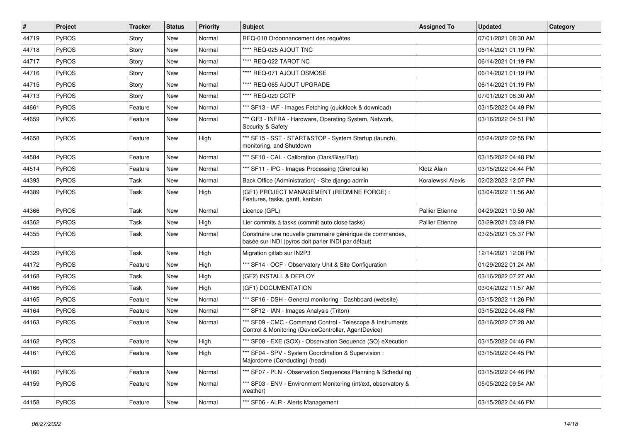| $\vert$ # | <b>Project</b> | <b>Tracker</b> | <b>Status</b> | Priority          | <b>Subject</b>                                                                                                     | <b>Assigned To</b>     | <b>Updated</b>      | Category |
|-----------|----------------|----------------|---------------|-------------------|--------------------------------------------------------------------------------------------------------------------|------------------------|---------------------|----------|
| 44719     | PyROS          | Story          | New           | Normal            | REQ-010 Ordonnancement des requêtes                                                                                |                        | 07/01/2021 08:30 AM |          |
| 44718     | PyROS          | Story          | New           | Normal            | **** REQ-025 AJOUT TNC                                                                                             |                        | 06/14/2021 01:19 PM |          |
| 44717     | PyROS          | Story          | New           | Normal            | **** REQ-022 TAROT NC                                                                                              |                        | 06/14/2021 01:19 PM |          |
| 44716     | PyROS          | Story          | New           | Normal            | **** REQ-071 AJOUT OSMOSE                                                                                          |                        | 06/14/2021 01:19 PM |          |
| 44715     | PyROS          | Story          | New           | Normal            | **** REQ-065 AJOUT UPGRADE                                                                                         |                        | 06/14/2021 01:19 PM |          |
| 44713     | PyROS          | Story          | New           | Normal            | **** REQ-020 CCTP                                                                                                  |                        | 07/01/2021 08:30 AM |          |
| 44661     | PyROS          | Feature        | <b>New</b>    | Normal            | *** SF13 - IAF - Images Fetching (quicklook & download)                                                            |                        | 03/15/2022 04:49 PM |          |
| 44659     | PyROS          | Feature        | New           | Normal            | *** GF3 - INFRA - Hardware, Operating System, Network,<br>Security & Safety                                        |                        | 03/16/2022 04:51 PM |          |
| 44658     | PyROS          | Feature        | New           | High              | *** SF15 - SST - START&STOP - System Startup (launch),<br>monitoring, and Shutdown                                 |                        | 05/24/2022 02:55 PM |          |
| 44584     | PyROS          | Feature        | New           | Normal            | *** SF10 - CAL - Calibration (Dark/Bias/Flat)                                                                      |                        | 03/15/2022 04:48 PM |          |
| 44514     | PyROS          | Feature        | <b>New</b>    | Normal            | *** SF11 - IPC - Images Processing (Grenouille)                                                                    | Klotz Alain            | 03/15/2022 04:44 PM |          |
| 44393     | PyROS          | Task           | New           | Normal            | Back Office (Administration) - Site django admin                                                                   | Koralewski Alexis      | 02/02/2022 12:07 PM |          |
| 44389     | PyROS          | Task           | New           | High              | (GF1) PROJECT MANAGEMENT (REDMINE FORGE) :<br>Features, tasks, gantt, kanban                                       |                        | 03/04/2022 11:56 AM |          |
| 44366     | PyROS          | Task           | <b>New</b>    | Normal            | Licence (GPL)                                                                                                      | <b>Pallier Etienne</b> | 04/29/2021 10:50 AM |          |
| 44362     | PyROS          | Task           | <b>New</b>    | High              | Lier commits à tasks (commit auto close tasks)                                                                     | <b>Pallier Etienne</b> | 03/29/2021 03:49 PM |          |
| 44355     | PyROS          | Task           | New           | Normal            | Construire une nouvelle grammaire générique de commandes,<br>basée sur INDI (pyros doit parler INDI par défaut)    |                        | 03/25/2021 05:37 PM |          |
| 44329     | PyROS          | Task           | New           | High              | Migration gitlab sur IN2P3                                                                                         |                        | 12/14/2021 12:08 PM |          |
| 44172     | <b>PyROS</b>   | Feature        | New           | High              | *** SF14 - OCF - Observatory Unit & Site Configuration                                                             |                        | 01/29/2022 01:24 AM |          |
| 44168     | PyROS          | Task           | New           | High              | (GF2) INSTALL & DEPLOY                                                                                             |                        | 03/16/2022 07:27 AM |          |
| 44166     | PyROS          | Task           | New           | High              | (GF1) DOCUMENTATION                                                                                                |                        | 03/04/2022 11:57 AM |          |
| 44165     | PyROS          | Feature        | New           | Normal            | *** SF16 - DSH - General monitoring : Dashboard (website)                                                          |                        | 03/15/2022 11:26 PM |          |
| 44164     | PyROS          | Feature        | <b>New</b>    | Normal            | *** SF12 - IAN - Images Analysis (Triton)                                                                          |                        | 03/15/2022 04:48 PM |          |
| 44163     | PyROS          | Feature        | New           | Normal            | *** SF09 - CMC - Command Control - Telescope & Instruments<br>Control & Monitoring (DeviceController, AgentDevice) |                        | 03/16/2022 07:28 AM |          |
| 44162     | PyROS          | Feature        | <b>New</b>    | High              | *** SF08 - EXE (SOX) - Observation Sequence (SO) eXecution                                                         |                        | 03/15/2022 04:46 PM |          |
| 44161     | PyROS          | Feature        | New           | <sub>I</sub> High | ** SF04 - SPV - System Coordination & Supervision :<br>Majordome (Conducting) (head)                               |                        | 03/15/2022 04:45 PM |          |
| 44160     | PyROS          | Feature        | <b>New</b>    | Normal            | *** SF07 - PLN - Observation Sequences Planning & Scheduling                                                       |                        | 03/15/2022 04:46 PM |          |
| 44159     | PyROS          | Feature        | New           | Normal            | *** SF03 - ENV - Environment Monitoring (int/ext, observatory &<br>weather)                                        |                        | 05/05/2022 09:54 AM |          |
| 44158     | PyROS          | Feature        | New           | Normal            | *** SF06 - ALR - Alerts Management                                                                                 |                        | 03/15/2022 04:46 PM |          |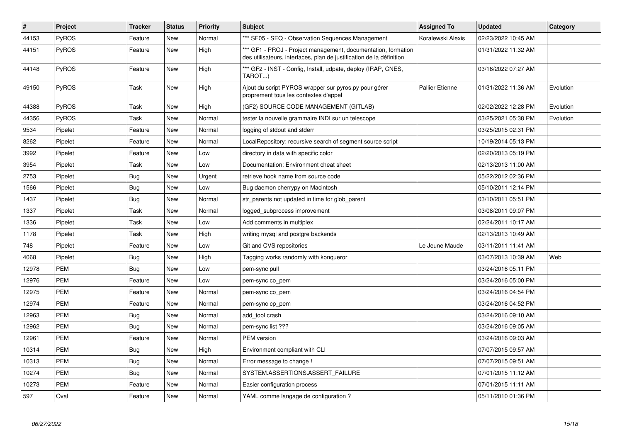| $\vert$ # | Project      | <b>Tracker</b> | <b>Status</b> | Priority | <b>Subject</b>                                                                                                                        | <b>Assigned To</b>     | <b>Updated</b>      | Category  |
|-----------|--------------|----------------|---------------|----------|---------------------------------------------------------------------------------------------------------------------------------------|------------------------|---------------------|-----------|
| 44153     | PyROS        | Feature        | New           | Normal   | *** SF05 - SEQ - Observation Sequences Management                                                                                     | Koralewski Alexis      | 02/23/2022 10:45 AM |           |
| 44151     | PyROS        | Feature        | <b>New</b>    | High     | *** GF1 - PROJ - Project management, documentation, formation<br>des utilisateurs, interfaces, plan de justification de la définition |                        | 01/31/2022 11:32 AM |           |
| 44148     | PyROS        | Feature        | New           | High     | *** GF2 - INST - Config, Install, udpate, deploy (IRAP, CNES,<br>TAROT)                                                               |                        | 03/16/2022 07:27 AM |           |
| 49150     | <b>PyROS</b> | Task           | New           | High     | Ajout du script PYROS wrapper sur pyros.py pour gérer<br>proprement tous les contextes d'appel                                        | <b>Pallier Etienne</b> | 01/31/2022 11:36 AM | Evolution |
| 44388     | PyROS        | Task           | New           | High     | (GF2) SOURCE CODE MANAGEMENT (GITLAB)                                                                                                 |                        | 02/02/2022 12:28 PM | Evolution |
| 44356     | <b>PyROS</b> | Task           | New           | Normal   | tester la nouvelle grammaire INDI sur un telescope                                                                                    |                        | 03/25/2021 05:38 PM | Evolution |
| 9534      | Pipelet      | Feature        | New           | Normal   | logging of stdout and stderr                                                                                                          |                        | 03/25/2015 02:31 PM |           |
| 8262      | Pipelet      | Feature        | <b>New</b>    | Normal   | LocalRepository: recursive search of segment source script                                                                            |                        | 10/19/2014 05:13 PM |           |
| 3992      | Pipelet      | Feature        | New           | Low      | directory in data with specific color                                                                                                 |                        | 02/20/2013 05:19 PM |           |
| 3954      | Pipelet      | Task           | New           | Low      | Documentation: Environment cheat sheet                                                                                                |                        | 02/13/2013 11:00 AM |           |
| 2753      | Pipelet      | Bug            | New           | Urgent   | retrieve hook name from source code                                                                                                   |                        | 05/22/2012 02:36 PM |           |
| 1566      | Pipelet      | Bug            | New           | Low      | Bug daemon cherrypy on Macintosh                                                                                                      |                        | 05/10/2011 12:14 PM |           |
| 1437      | Pipelet      | Bug            | New           | Normal   | str_parents not updated in time for glob_parent                                                                                       |                        | 03/10/2011 05:51 PM |           |
| 1337      | Pipelet      | Task           | New           | Normal   | logged subprocess improvement                                                                                                         |                        | 03/08/2011 09:07 PM |           |
| 1336      | Pipelet      | Task           | <b>New</b>    | Low      | Add comments in multiplex                                                                                                             |                        | 02/24/2011 10:17 AM |           |
| 1178      | Pipelet      | Task           | <b>New</b>    | High     | writing mysql and postgre backends                                                                                                    |                        | 02/13/2013 10:49 AM |           |
| 748       | Pipelet      | Feature        | New           | Low      | Git and CVS repositories                                                                                                              | Le Jeune Maude         | 03/11/2011 11:41 AM |           |
| 4068      | Pipelet      | Bug            | New           | High     | Tagging works randomly with kongueror                                                                                                 |                        | 03/07/2013 10:39 AM | Web       |
| 12978     | <b>PEM</b>   | Bug            | New           | Low      | pem-sync pull                                                                                                                         |                        | 03/24/2016 05:11 PM |           |
| 12976     | <b>PEM</b>   | Feature        | <b>New</b>    | Low      | pem-sync co_pem                                                                                                                       |                        | 03/24/2016 05:00 PM |           |
| 12975     | <b>PEM</b>   | Feature        | New           | Normal   | pem-sync co_pem                                                                                                                       |                        | 03/24/2016 04:54 PM |           |
| 12974     | <b>PEM</b>   | Feature        | New           | Normal   | pem-sync cp_pem                                                                                                                       |                        | 03/24/2016 04:52 PM |           |
| 12963     | <b>PEM</b>   | Bug            | New           | Normal   | add tool crash                                                                                                                        |                        | 03/24/2016 09:10 AM |           |
| 12962     | <b>PEM</b>   | Bug            | New           | Normal   | pem-sync list ???                                                                                                                     |                        | 03/24/2016 09:05 AM |           |
| 12961     | <b>PEM</b>   | Feature        | New           | Normal   | <b>PEM</b> version                                                                                                                    |                        | 03/24/2016 09:03 AM |           |
| 10314     | <b>PEM</b>   | Bug            | New           | High     | Environment compliant with CLI                                                                                                        |                        | 07/07/2015 09:57 AM |           |
| 10313     | <b>PEM</b>   | <b>Bug</b>     | New           | Normal   | Error message to change !                                                                                                             |                        | 07/07/2015 09:51 AM |           |
| 10274     | <b>PEM</b>   | Bug            | New           | Normal   | SYSTEM.ASSERTIONS.ASSERT FAILURE                                                                                                      |                        | 07/01/2015 11:12 AM |           |
| 10273     | PEM          | Feature        | New           | Normal   | Easier configuration process                                                                                                          |                        | 07/01/2015 11:11 AM |           |
| 597       | Oval         | Feature        | New           | Normal   | YAML comme langage de configuration?                                                                                                  |                        | 05/11/2010 01:36 PM |           |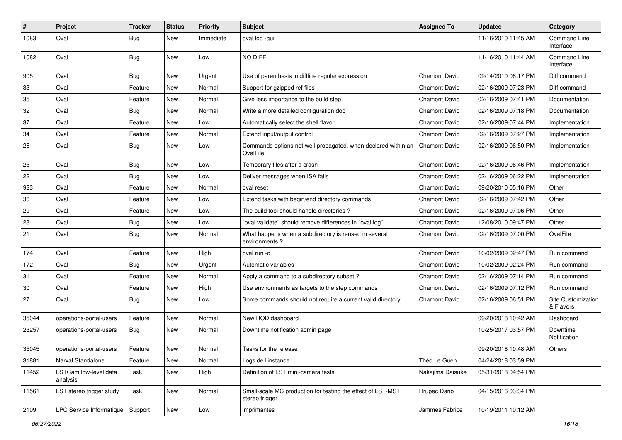| $\vert$ # | Project                            | <b>Tracker</b> | <b>Status</b> | <b>Priority</b> | Subject                                                                       | <b>Assigned To</b>   | <b>Updated</b>      | Category                         |
|-----------|------------------------------------|----------------|---------------|-----------------|-------------------------------------------------------------------------------|----------------------|---------------------|----------------------------------|
| 1083      | Oval                               | Bug            | New           | Immediate       | oval log -gui                                                                 |                      | 11/16/2010 11:45 AM | <b>Command Line</b><br>Interface |
| 1082      | Oval                               | Bug            | New           | Low             | NO DIFF                                                                       |                      | 11/16/2010 11:44 AM | <b>Command Line</b><br>Interface |
| 905       | Oval                               | Bug            | <b>New</b>    | Urgent          | Use of parenthesis in diffline regular expression                             | <b>Chamont David</b> | 09/14/2010 06:17 PM | Diff command                     |
| 33        | Oval                               | Feature        | New           | Normal          | Support for gzipped ref files                                                 | <b>Chamont David</b> | 02/16/2009 07:23 PM | Diff command                     |
| 35        | Oval                               | Feature        | <b>New</b>    | Normal          | Give less importance to the build step                                        | <b>Chamont David</b> | 02/16/2009 07:41 PM | Documentation                    |
| 32        | Oval                               | Bug            | <b>New</b>    | Normal          | Write a more detailed configuration doc                                       | <b>Chamont David</b> | 02/16/2009 07:18 PM | Documentation                    |
| 37        | Oval                               | Feature        | <b>New</b>    | Low             | Automatically select the shell flavor                                         | <b>Chamont David</b> | 02/16/2009 07:44 PM | Implementation                   |
| 34        | Oval                               | Feature        | New           | Normal          | Extend input/output control                                                   | <b>Chamont David</b> | 02/16/2009 07:27 PM | Implementation                   |
| 26        | Oval                               | Bug            | <b>New</b>    | Low             | Commands options not well propagated, when declared within an<br>OvalFile     | <b>Chamont David</b> | 02/16/2009 06:50 PM | Implementation                   |
| 25        | Oval                               | <b>Bug</b>     | <b>New</b>    | Low             | Temporary files after a crash                                                 | <b>Chamont David</b> | 02/16/2009 06:46 PM | Implementation                   |
| 22        | Oval                               | <b>Bug</b>     | New           | Low             | Deliver messages when ISA fails                                               | <b>Chamont David</b> | 02/16/2009 06:22 PM | Implementation                   |
| 923       | Oval                               | Feature        | <b>New</b>    | Normal          | oval reset                                                                    | <b>Chamont David</b> | 09/20/2010 05:16 PM | Other                            |
| 36        | Oval                               | Feature        | <b>New</b>    | Low             | Extend tasks with begin/end directory commands                                | <b>Chamont David</b> | 02/16/2009 07:42 PM | Other                            |
| 29        | Oval                               | Feature        | <b>New</b>    | Low             | The build tool should handle directories?                                     | <b>Chamont David</b> | 02/16/2009 07:06 PM | Other                            |
| 28        | Oval                               | <b>Bug</b>     | New           | Low             | "oval validate" should remove differences in "oval log"                       | <b>Chamont David</b> | 12/08/2010 09:47 PM | Other                            |
| 21        | Oval                               | Bug            | <b>New</b>    | Normal          | What happens when a subdirectory is reused in several<br>environments?        | <b>Chamont David</b> | 02/16/2009 07:00 PM | OvalFile                         |
| 174       | Oval                               | Feature        | <b>New</b>    | High            | oval run -o                                                                   | <b>Chamont David</b> | 10/02/2009 02:47 PM | Run command                      |
| 172       | Oval                               | Bug            | New           | Urgent          | Automatic variables                                                           | <b>Chamont David</b> | 10/02/2009 02:24 PM | Run command                      |
| 31        | Oval                               | Feature        | <b>New</b>    | Normal          | Apply a command to a subdirectory subset?                                     | <b>Chamont David</b> | 02/16/2009 07:14 PM | Run command                      |
| 30        | Oval                               | Feature        | New           | High            | Use environments as targets to the step commands                              | <b>Chamont David</b> | 02/16/2009 07:12 PM | Run command                      |
| 27        | Oval                               | Bug            | New           | Low             | Some commands should not require a current valid directory                    | <b>Chamont David</b> | 02/16/2009 06:51 PM | Site Customization<br>& Flavors  |
| 35044     | operations-portal-users            | Feature        | New           | Normal          | New ROD dashboard                                                             |                      | 09/20/2018 10:42 AM | Dashboard                        |
| 23257     | operations-portal-users            | <b>Bug</b>     | New           | Normal          | Downtime notification admin page                                              |                      | 10/25/2017 03:57 PM | Downtime<br>Notification         |
| 35045     | operations-portal-users            | Feature        | <b>New</b>    | Normal          | Tasks for the release                                                         |                      | 09/20/2018 10:48 AM | <b>Others</b>                    |
| 31881     | Narval Standalone                  | Feature        | New           | Normal          | Logs de l'instance                                                            | Théo Le Guen         | 04/24/2018 03:59 PM |                                  |
| 11452     | LSTCam low-level data<br>analysis  | Task           | New           | High            | Definition of LST mini-camera tests                                           | Nakajima Daisuke     | 05/31/2018 04:54 PM |                                  |
| 11561     | LST stereo trigger study           | Task           | New           | Normal          | Small-scale MC production for testing the effect of LST-MST<br>stereo trigger | Hrupec Dario         | 04/15/2016 03:34 PM |                                  |
| 2109      | LPC Service Informatique   Support |                | New           | Low             | imprimantes                                                                   | Jammes Fabrice       | 10/19/2011 10:12 AM |                                  |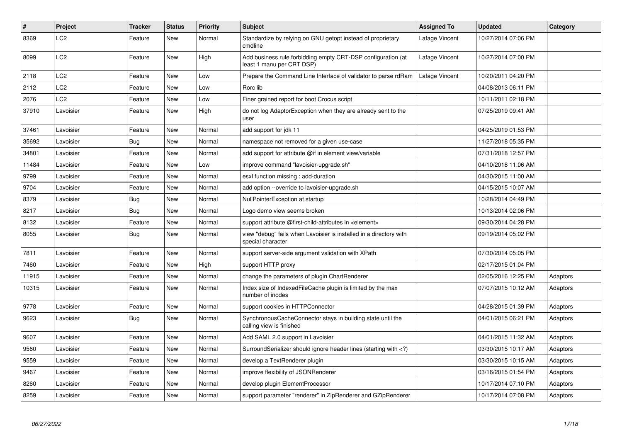| $\sharp$ | <b>Project</b>  | <b>Tracker</b> | <b>Status</b> | <b>Priority</b> | <b>Subject</b>                                                                                                              | <b>Assigned To</b> | <b>Updated</b>      | Category |
|----------|-----------------|----------------|---------------|-----------------|-----------------------------------------------------------------------------------------------------------------------------|--------------------|---------------------|----------|
| 8369     | LC2             | Feature        | New           | Normal          | Standardize by relying on GNU getopt instead of proprietary<br>cmdline                                                      | Lafage Vincent     | 10/27/2014 07:06 PM |          |
| 8099     | LC2             | Feature        | New           | High            | Add business rule forbidding empty CRT-DSP configuration (at<br>least 1 manu per CRT DSP)                                   | Lafage Vincent     | 10/27/2014 07:00 PM |          |
| 2118     | LC <sub>2</sub> | Feature        | New           | Low             | Prepare the Command Line Interface of validator to parse rdRam                                                              | Lafage Vincent     | 10/20/2011 04:20 PM |          |
| 2112     | LC2             | Feature        | New           | Low             | Rorc lib                                                                                                                    |                    | 04/08/2013 06:11 PM |          |
| 2076     | LC <sub>2</sub> | Feature        | New           | Low             | Finer grained report for boot Crocus script                                                                                 |                    | 10/11/2011 02:18 PM |          |
| 37910    | Lavoisier       | Feature        | <b>New</b>    | High            | do not log AdaptorException when they are already sent to the<br>user                                                       |                    | 07/25/2019 09:41 AM |          |
| 37461    | Lavoisier       | Feature        | New           | Normal          | add support for jdk 11                                                                                                      |                    | 04/25/2019 01:53 PM |          |
| 35692    | Lavoisier       | Bug            | New           | Normal          | namespace not removed for a given use-case                                                                                  |                    | 11/27/2018 05:35 PM |          |
| 34801    | Lavoisier       | Feature        | New           | Normal          | add support for attribute @if in element view/variable                                                                      |                    | 07/31/2018 12:57 PM |          |
| 11484    | Lavoisier       | Feature        | New           | Low             | improve command "lavoisier-upgrade.sh"                                                                                      |                    | 04/10/2018 11:06 AM |          |
| 9799     | Lavoisier       | Feature        | <b>New</b>    | Normal          | esxl function missing : add-duration                                                                                        |                    | 04/30/2015 11:00 AM |          |
| 9704     | Lavoisier       | Feature        | <b>New</b>    | Normal          | add option --override to lavoisier-upgrade.sh                                                                               |                    | 04/15/2015 10:07 AM |          |
| 8379     | Lavoisier       | Bug            | New           | Normal          | NullPointerException at startup                                                                                             |                    | 10/28/2014 04:49 PM |          |
| 8217     | Lavoisier       | <b>Bug</b>     | New           | Normal          | Logo demo view seems broken                                                                                                 |                    | 10/13/2014 02:06 PM |          |
| 8132     | Lavoisier       | Feature        | <b>New</b>    | Normal          | support attribute @first-child-attributes in <element></element>                                                            |                    | 09/30/2014 04:28 PM |          |
| 8055     | Lavoisier       | <b>Bug</b>     | New           | Normal          | view "debug" fails when Lavoisier is installed in a directory with<br>special character                                     |                    | 09/19/2014 05:02 PM |          |
| 7811     | Lavoisier       | Feature        | <b>New</b>    | Normal          | support server-side argument validation with XPath                                                                          |                    | 07/30/2014 05:05 PM |          |
| 7460     | Lavoisier       | Feature        | <b>New</b>    | High            | support HTTP proxy                                                                                                          |                    | 02/17/2015 01:04 PM |          |
| 11915    | Lavoisier       | Feature        | New           | Normal          | change the parameters of plugin ChartRenderer                                                                               |                    | 02/05/2016 12:25 PM | Adaptors |
| 10315    | Lavoisier       | Feature        | New           | Normal          | Index size of Indexed File Cache plugin is limited by the max<br>number of inodes                                           |                    | 07/07/2015 10:12 AM | Adaptors |
| 9778     | Lavoisier       | Feature        | New           | Normal          | support cookies in HTTPConnector                                                                                            |                    | 04/28/2015 01:39 PM | Adaptors |
| 9623     | Lavoisier       | Bug            | New           | Normal          | Synchronous Cache Connector stays in building state until the<br>calling view is finished                                   |                    | 04/01/2015 06:21 PM | Adaptors |
| 9607     | Lavoisier       | Feature        | New           | Normal          | Add SAML 2.0 support in Lavoisier                                                                                           |                    | 04/01/2015 11:32 AM | Adaptors |
| 9560     | Lavoisier       | Feature        | New           | Normal          | SurroundSerializer should ignore header lines (starting with )</td <td></td> <td>03/30/2015 10:17 AM</td> <td>Adaptors</td> |                    | 03/30/2015 10:17 AM | Adaptors |
| 9559     | Lavoisier       | Feature        | New           | Normal          | develop a TextRenderer plugin                                                                                               |                    | 03/30/2015 10:15 AM | Adaptors |
| 9467     | Lavoisier       | Feature        | New           | Normal          | improve flexibility of JSONRenderer                                                                                         |                    | 03/16/2015 01:54 PM | Adaptors |
| 8260     | Lavoisier       | Feature        | New           | Normal          | develop plugin ElementProcessor                                                                                             |                    | 10/17/2014 07:10 PM | Adaptors |
| 8259     | Lavoisier       | Feature        | <b>New</b>    | Normal          | support parameter "renderer" in ZipRenderer and GZipRenderer                                                                |                    | 10/17/2014 07:08 PM | Adaptors |